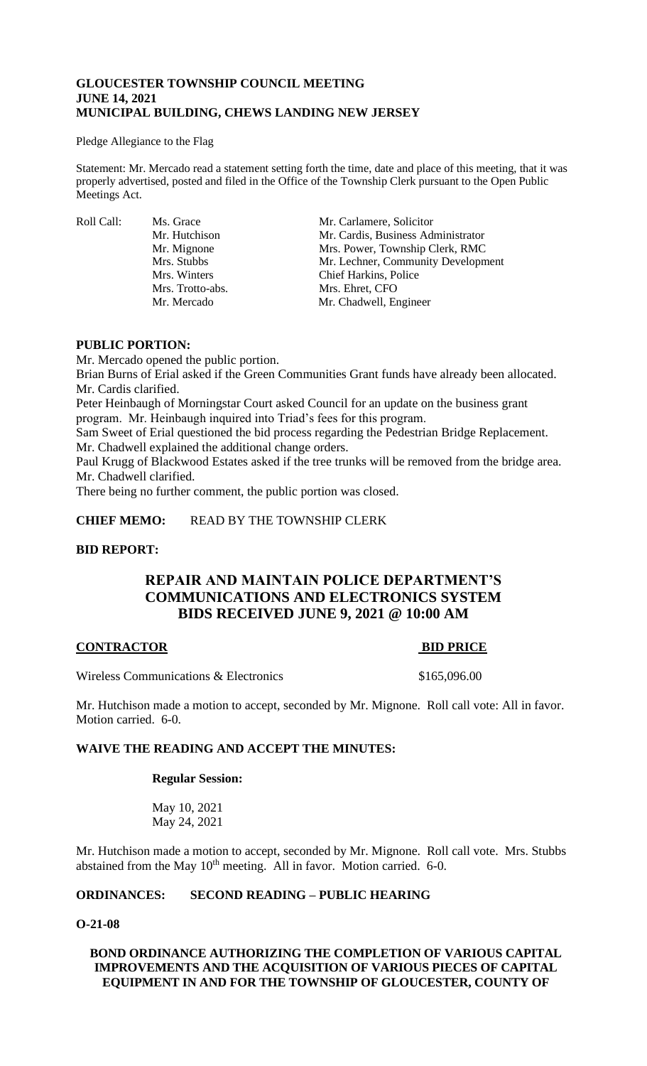# **GLOUCESTER TOWNSHIP COUNCIL MEETING JUNE 14, 2021 MUNICIPAL BUILDING, CHEWS LANDING NEW JERSEY**

### Pledge Allegiance to the Flag

Statement: Mr. Mercado read a statement setting forth the time, date and place of this meeting, that it was properly advertised, posted and filed in the Office of the Township Clerk pursuant to the Open Public Meetings Act.

Roll Call: Ms. Grace Mr. Carlamere, Solicitor<br>Mr. Hutchison Mr. Cardis, Business Adı Mr. Hutchison Mr. Cardis, Business Administrator<br>Mr. Mignone Mrs. Power, Township Clerk, RMC Mrs. Power, Township Clerk, RMC Mrs. Stubbs Mr. Lechner, Community Development Mrs. Winters Chief Harkins, Police Mrs. Trotto-abs. Mrs. Ehret, CFO Mr. Mercado Mr. Chadwell, Engineer

# **PUBLIC PORTION:**

Mr. Mercado opened the public portion. Brian Burns of Erial asked if the Green Communities Grant funds have already been allocated. Mr. Cardis clarified.

Peter Heinbaugh of Morningstar Court asked Council for an update on the business grant program. Mr. Heinbaugh inquired into Triad's fees for this program.

Sam Sweet of Erial questioned the bid process regarding the Pedestrian Bridge Replacement. Mr. Chadwell explained the additional change orders.

Paul Krugg of Blackwood Estates asked if the tree trunks will be removed from the bridge area. Mr. Chadwell clarified.

There being no further comment, the public portion was closed.

**CHIEF MEMO:** READ BY THE TOWNSHIP CLERK

# **BID REPORT:**

# **REPAIR AND MAINTAIN POLICE DEPARTMENT'S COMMUNICATIONS AND ELECTRONICS SYSTEM BIDS RECEIVED JUNE 9, 2021 @ 10:00 AM**

# **CONTRACTOR BID PRICE**

Wireless Communications & Electronics  $$165,096.00$ 

Mr. Hutchison made a motion to accept, seconded by Mr. Mignone. Roll call vote: All in favor. Motion carried. 6-0.

# **WAIVE THE READING AND ACCEPT THE MINUTES:**

## **Regular Session:**

May 10, 2021 May 24, 2021

Mr. Hutchison made a motion to accept, seconded by Mr. Mignone. Roll call vote. Mrs. Stubbs abstained from the May  $10<sup>th</sup>$  meeting. All in favor. Motion carried. 6-0.

# **ORDINANCES: SECOND READING – PUBLIC HEARING**

# **O-21-08**

# **BOND ORDINANCE AUTHORIZING THE COMPLETION OF VARIOUS CAPITAL IMPROVEMENTS AND THE ACQUISITION OF VARIOUS PIECES OF CAPITAL EQUIPMENT IN AND FOR THE TOWNSHIP OF GLOUCESTER, COUNTY OF**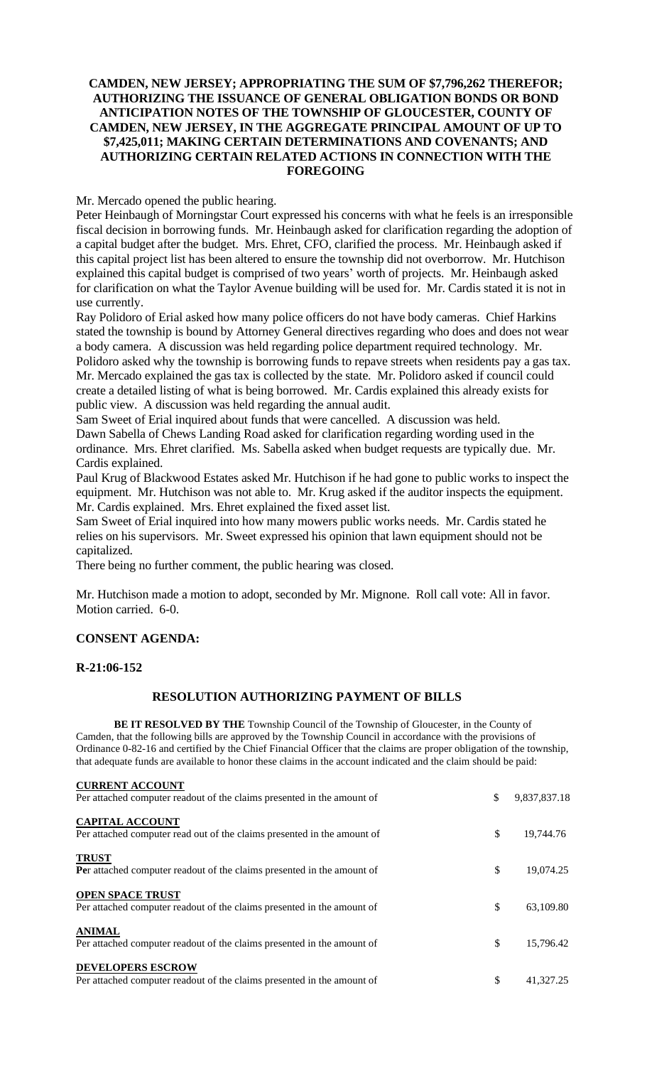# **CAMDEN, NEW JERSEY; APPROPRIATING THE SUM OF \$7,796,262 THEREFOR; AUTHORIZING THE ISSUANCE OF GENERAL OBLIGATION BONDS OR BOND ANTICIPATION NOTES OF THE TOWNSHIP OF GLOUCESTER, COUNTY OF CAMDEN, NEW JERSEY, IN THE AGGREGATE PRINCIPAL AMOUNT OF UP TO \$7,425,011; MAKING CERTAIN DETERMINATIONS AND COVENANTS; AND AUTHORIZING CERTAIN RELATED ACTIONS IN CONNECTION WITH THE FOREGOING**

# Mr. Mercado opened the public hearing.

Peter Heinbaugh of Morningstar Court expressed his concerns with what he feels is an irresponsible fiscal decision in borrowing funds. Mr. Heinbaugh asked for clarification regarding the adoption of a capital budget after the budget. Mrs. Ehret, CFO, clarified the process. Mr. Heinbaugh asked if this capital project list has been altered to ensure the township did not overborrow. Mr. Hutchison explained this capital budget is comprised of two years' worth of projects. Mr. Heinbaugh asked for clarification on what the Taylor Avenue building will be used for. Mr. Cardis stated it is not in use currently.

Ray Polidoro of Erial asked how many police officers do not have body cameras. Chief Harkins stated the township is bound by Attorney General directives regarding who does and does not wear a body camera. A discussion was held regarding police department required technology. Mr. Polidoro asked why the township is borrowing funds to repave streets when residents pay a gas tax. Mr. Mercado explained the gas tax is collected by the state. Mr. Polidoro asked if council could create a detailed listing of what is being borrowed. Mr. Cardis explained this already exists for public view. A discussion was held regarding the annual audit.

Sam Sweet of Erial inquired about funds that were cancelled. A discussion was held. Dawn Sabella of Chews Landing Road asked for clarification regarding wording used in the ordinance. Mrs. Ehret clarified. Ms. Sabella asked when budget requests are typically due. Mr. Cardis explained.

Paul Krug of Blackwood Estates asked Mr. Hutchison if he had gone to public works to inspect the equipment. Mr. Hutchison was not able to. Mr. Krug asked if the auditor inspects the equipment. Mr. Cardis explained. Mrs. Ehret explained the fixed asset list.

Sam Sweet of Erial inquired into how many mowers public works needs. Mr. Cardis stated he relies on his supervisors. Mr. Sweet expressed his opinion that lawn equipment should not be capitalized.

There being no further comment, the public hearing was closed.

Mr. Hutchison made a motion to adopt, seconded by Mr. Mignone. Roll call vote: All in favor. Motion carried. 6-0.

# **CONSENT AGENDA:**

## **R-21:06-152**

## **RESOLUTION AUTHORIZING PAYMENT OF BILLS**

**BE IT RESOLVED BY THE** Township Council of the Township of Gloucester, in the County of Camden, that the following bills are approved by the Township Council in accordance with the provisions of Ordinance 0-82-16 and certified by the Chief Financial Officer that the claims are proper obligation of the township, that adequate funds are available to honor these claims in the account indicated and the claim should be paid:

| <b>CURRENT ACCOUNT</b>                                                                             |                    |
|----------------------------------------------------------------------------------------------------|--------------------|
| Per attached computer readout of the claims presented in the amount of                             | \$<br>9,837,837.18 |
| <b>CAPITAL ACCOUNT</b><br>Per attached computer read out of the claims presented in the amount of  | \$<br>19,744.76    |
| <b>TRUST</b><br>Per attached computer readout of the claims presented in the amount of             | \$<br>19,074.25    |
| <b>OPEN SPACE TRUST</b><br>Per attached computer readout of the claims presented in the amount of  | \$<br>63,109.80    |
| <b>ANIMAL</b><br>Per attached computer readout of the claims presented in the amount of            | \$<br>15.796.42    |
| <b>DEVELOPERS ESCROW</b><br>Per attached computer readout of the claims presented in the amount of | \$<br>41,327.25    |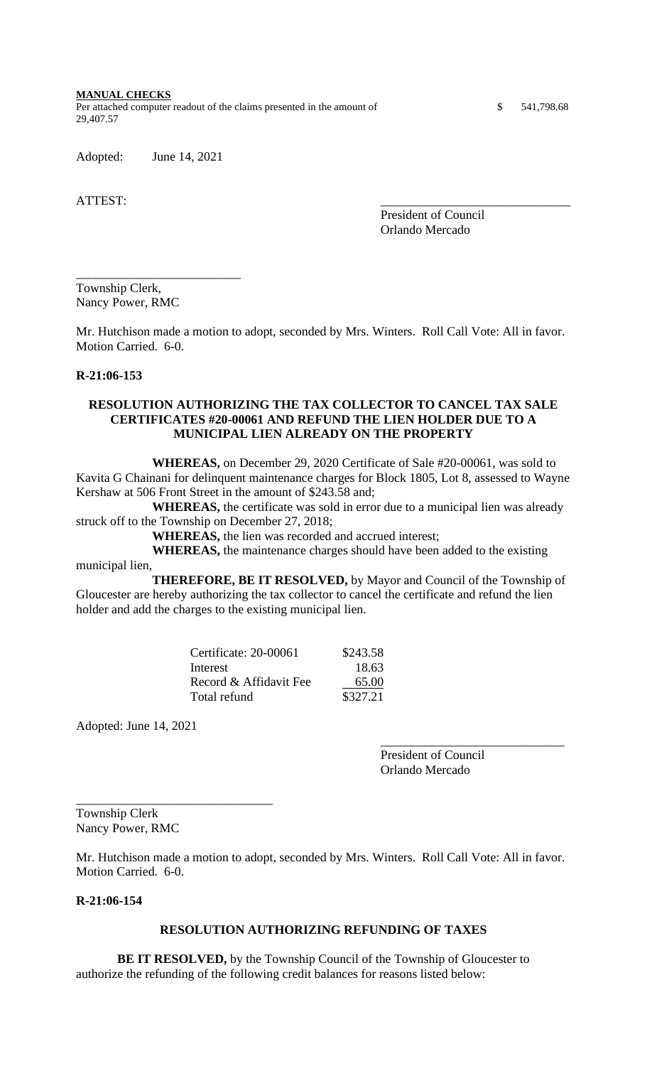**MANUAL CHECKS**

Per attached computer readout of the claims presented in the amount of \$ 541,798.68 29,407.57

Adopted: June 14, 2021

ATTEST:

President of Council Orlando Mercado

Township Clerk, Nancy Power, RMC

\_\_\_\_\_\_\_\_\_\_\_\_\_\_\_\_\_\_\_\_\_\_\_\_\_\_

Mr. Hutchison made a motion to adopt, seconded by Mrs. Winters. Roll Call Vote: All in favor. Motion Carried. 6-0.

# **R-21:06-153**

# **RESOLUTION AUTHORIZING THE TAX COLLECTOR TO CANCEL TAX SALE CERTIFICATES #20-00061 AND REFUND THE LIEN HOLDER DUE TO A MUNICIPAL LIEN ALREADY ON THE PROPERTY**

**WHEREAS,** on December 29, 2020 Certificate of Sale #20-00061, was sold to Kavita G Chainani for delinquent maintenance charges for Block 1805, Lot 8, assessed to Wayne Kershaw at 506 Front Street in the amount of \$243.58 and;

**WHEREAS,** the certificate was sold in error due to a municipal lien was already struck off to the Township on December 27, 2018;

**WHEREAS,** the lien was recorded and accrued interest;

**WHEREAS,** the maintenance charges should have been added to the existing municipal lien,

**THEREFORE, BE IT RESOLVED,** by Mayor and Council of the Township of Gloucester are hereby authorizing the tax collector to cancel the certificate and refund the lien holder and add the charges to the existing municipal lien.

| Certificate: 20-00061  | \$243.58 |
|------------------------|----------|
| Interest               | 18.63    |
| Record & Affidavit Fee | 65.00    |
| Total refund           | \$327.21 |

Adopted: June 14, 2021

President of Council Orlando Mercado

\_\_\_\_\_\_\_\_\_\_\_\_\_\_\_\_\_\_\_\_\_\_\_\_\_\_\_\_\_

Township Clerk Nancy Power, RMC

\_\_\_\_\_\_\_\_\_\_\_\_\_\_\_\_\_\_\_\_\_\_\_\_\_\_\_\_\_\_\_

Mr. Hutchison made a motion to adopt, seconded by Mrs. Winters. Roll Call Vote: All in favor. Motion Carried. 6-0.

# **R-21:06-154**

## **RESOLUTION AUTHORIZING REFUNDING OF TAXES**

**BE IT RESOLVED,** by the Township Council of the Township of Gloucester to authorize the refunding of the following credit balances for reasons listed below: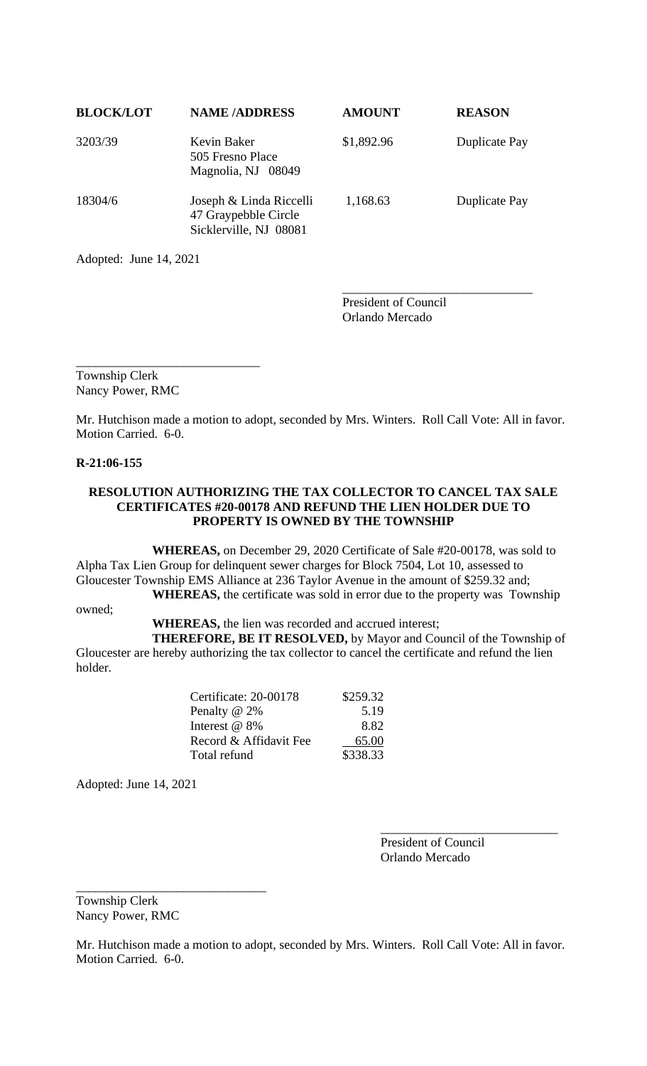| <b>BLOCK/LOT</b> | <b>NAME/ADDRESS</b>                                                       | <b>AMOUNT</b> | <b>REASON</b>        |
|------------------|---------------------------------------------------------------------------|---------------|----------------------|
| 3203/39          | Kevin Baker<br>505 Fresno Place<br>Magnolia, NJ 08049                     | \$1,892.96    | Duplicate Pay        |
| 18304/6          | Joseph & Linda Riccelli<br>47 Graypebble Circle<br>Sicklerville, NJ 08081 | 1,168.63      | <b>Duplicate Pay</b> |

Adopted: June 14, 2021

President of Council Orlando Mercado

\_\_\_\_\_\_\_\_\_\_\_\_\_\_\_\_\_\_\_\_\_\_\_\_\_\_\_\_\_\_

\_\_\_\_\_\_\_\_\_\_\_\_\_\_\_\_\_\_\_\_\_\_\_\_\_\_\_\_\_ Township Clerk Nancy Power, RMC

Mr. Hutchison made a motion to adopt, seconded by Mrs. Winters. Roll Call Vote: All in favor. Motion Carried. 6-0.

# **R-21:06-155**

# **RESOLUTION AUTHORIZING THE TAX COLLECTOR TO CANCEL TAX SALE CERTIFICATES #20-00178 AND REFUND THE LIEN HOLDER DUE TO PROPERTY IS OWNED BY THE TOWNSHIP**

**WHEREAS,** on December 29, 2020 Certificate of Sale #20-00178, was sold to Alpha Tax Lien Group for delinquent sewer charges for Block 7504, Lot 10, assessed to Gloucester Township EMS Alliance at 236 Taylor Avenue in the amount of \$259.32 and; **WHEREAS,** the certificate was sold in error due to the property was Township

owned;

**WHEREAS,** the lien was recorded and accrued interest;

**THEREFORE, BE IT RESOLVED,** by Mayor and Council of the Township of Gloucester are hereby authorizing the tax collector to cancel the certificate and refund the lien holder.

| Certificate: 20-00178  | \$259.32 |
|------------------------|----------|
| Penalty @ 2%           | 5.19     |
| Interest @ 8%          | 8.82     |
| Record & Affidavit Fee | 65.00    |
| Total refund           | \$338.33 |
|                        |          |

Adopted: June 14, 2021

President of Council Orlando Mercado

\_\_\_\_\_\_\_\_\_\_\_\_\_\_\_\_\_\_\_\_\_\_\_\_\_\_\_\_

Township Clerk Nancy Power, RMC

\_\_\_\_\_\_\_\_\_\_\_\_\_\_\_\_\_\_\_\_\_\_\_\_\_\_\_\_\_\_

Mr. Hutchison made a motion to adopt, seconded by Mrs. Winters. Roll Call Vote: All in favor. Motion Carried. 6-0.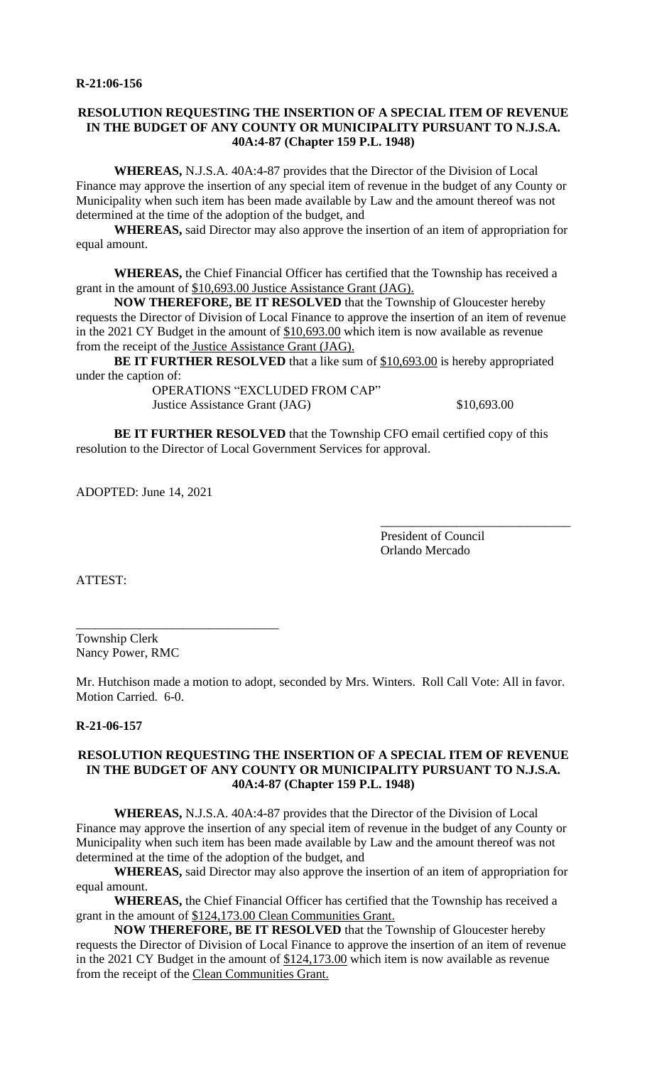# **RESOLUTION REQUESTING THE INSERTION OF A SPECIAL ITEM OF REVENUE IN THE BUDGET OF ANY COUNTY OR MUNICIPALITY PURSUANT TO N.J.S.A. 40A:4-87 (Chapter 159 P.L. 1948)**

**WHEREAS,** N.J.S.A. 40A:4-87 provides that the Director of the Division of Local Finance may approve the insertion of any special item of revenue in the budget of any County or Municipality when such item has been made available by Law and the amount thereof was not determined at the time of the adoption of the budget, and

**WHEREAS,** said Director may also approve the insertion of an item of appropriation for equal amount.

**WHEREAS,** the Chief Financial Officer has certified that the Township has received a grant in the amount of \$10,693.00 Justice Assistance Grant (JAG).

**NOW THEREFORE, BE IT RESOLVED** that the Township of Gloucester hereby requests the Director of Division of Local Finance to approve the insertion of an item of revenue in the 2021 CY Budget in the amount of  $$10,693.00$  which item is now available as revenue from the receipt of the Justice Assistance Grant (JAG).

**BE IT FURTHER RESOLVED** that a like sum of \$10,693.00 is hereby appropriated under the caption of:

OPERATIONS "EXCLUDED FROM CAP" Justice Assistance Grant (JAG)  $$10,693.00$ 

\_\_\_\_\_\_\_\_\_\_\_\_\_\_\_\_\_\_\_\_\_\_\_\_\_\_\_\_\_\_

**BE IT FURTHER RESOLVED** that the Township CFO email certified copy of this resolution to the Director of Local Government Services for approval.

ADOPTED: June 14, 2021

President of Council Orlando Mercado

ATTEST:

Township Clerk Nancy Power, RMC

\_\_\_\_\_\_\_\_\_\_\_\_\_\_\_\_\_\_\_\_\_\_\_\_\_\_\_\_\_\_\_\_

Mr. Hutchison made a motion to adopt, seconded by Mrs. Winters. Roll Call Vote: All in favor. Motion Carried. 6-0.

## **R-21-06-157**

# **RESOLUTION REQUESTING THE INSERTION OF A SPECIAL ITEM OF REVENUE IN THE BUDGET OF ANY COUNTY OR MUNICIPALITY PURSUANT TO N.J.S.A. 40A:4-87 (Chapter 159 P.L. 1948)**

**WHEREAS,** N.J.S.A. 40A:4-87 provides that the Director of the Division of Local Finance may approve the insertion of any special item of revenue in the budget of any County or Municipality when such item has been made available by Law and the amount thereof was not determined at the time of the adoption of the budget, and

**WHEREAS,** said Director may also approve the insertion of an item of appropriation for equal amount.

**WHEREAS,** the Chief Financial Officer has certified that the Township has received a grant in the amount of \$124,173.00 Clean Communities Grant.

**NOW THEREFORE, BE IT RESOLVED** that the Township of Gloucester hereby requests the Director of Division of Local Finance to approve the insertion of an item of revenue in the 2021 CY Budget in the amount of \$124,173.00 which item is now available as revenue from the receipt of the Clean Communities Grant.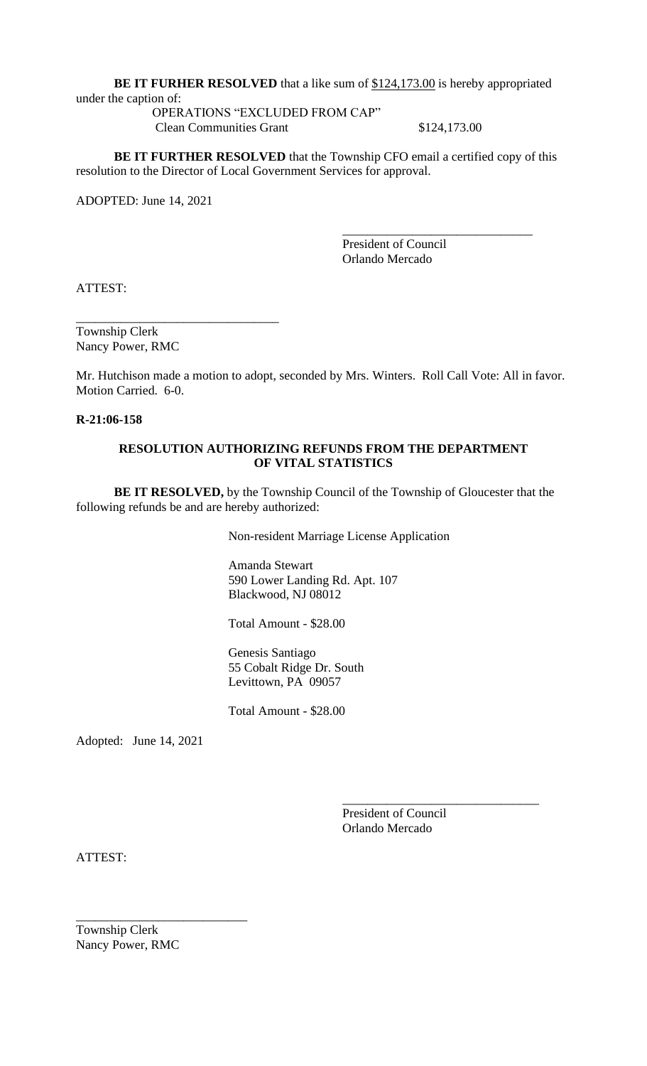**BE IT FURHER RESOLVED** that a like sum of \$124,173.00 is hereby appropriated

under the caption of:

OPERATIONS "EXCLUDED FROM CAP" Clean Communities Grant \$124,173.00

**BE IT FURTHER RESOLVED** that the Township CFO email a certified copy of this resolution to the Director of Local Government Services for approval.

ADOPTED: June 14, 2021

\_\_\_\_\_\_\_\_\_\_\_\_\_\_\_\_\_\_\_\_\_\_\_\_\_\_\_\_\_\_ President of Council Orlando Mercado

ATTEST:

Township Clerk Nancy Power, RMC

\_\_\_\_\_\_\_\_\_\_\_\_\_\_\_\_\_\_\_\_\_\_\_\_\_\_\_\_\_\_\_\_

Mr. Hutchison made a motion to adopt, seconded by Mrs. Winters. Roll Call Vote: All in favor. Motion Carried. 6-0.

**R-21:06-158**

# **RESOLUTION AUTHORIZING REFUNDS FROM THE DEPARTMENT OF VITAL STATISTICS**

**BE IT RESOLVED,** by the Township Council of the Township of Gloucester that the following refunds be and are hereby authorized:

Non-resident Marriage License Application

Amanda Stewart 590 Lower Landing Rd. Apt. 107 Blackwood, NJ 08012

Total Amount - \$28.00

Genesis Santiago 55 Cobalt Ridge Dr. South Levittown, PA 09057

Total Amount - \$28.00

Adopted: June 14, 2021

President of Council Orlando Mercado

\_\_\_\_\_\_\_\_\_\_\_\_\_\_\_\_\_\_\_\_\_\_\_\_\_\_\_\_\_\_\_

ATTEST:

Township Clerk Nancy Power, RMC

\_\_\_\_\_\_\_\_\_\_\_\_\_\_\_\_\_\_\_\_\_\_\_\_\_\_\_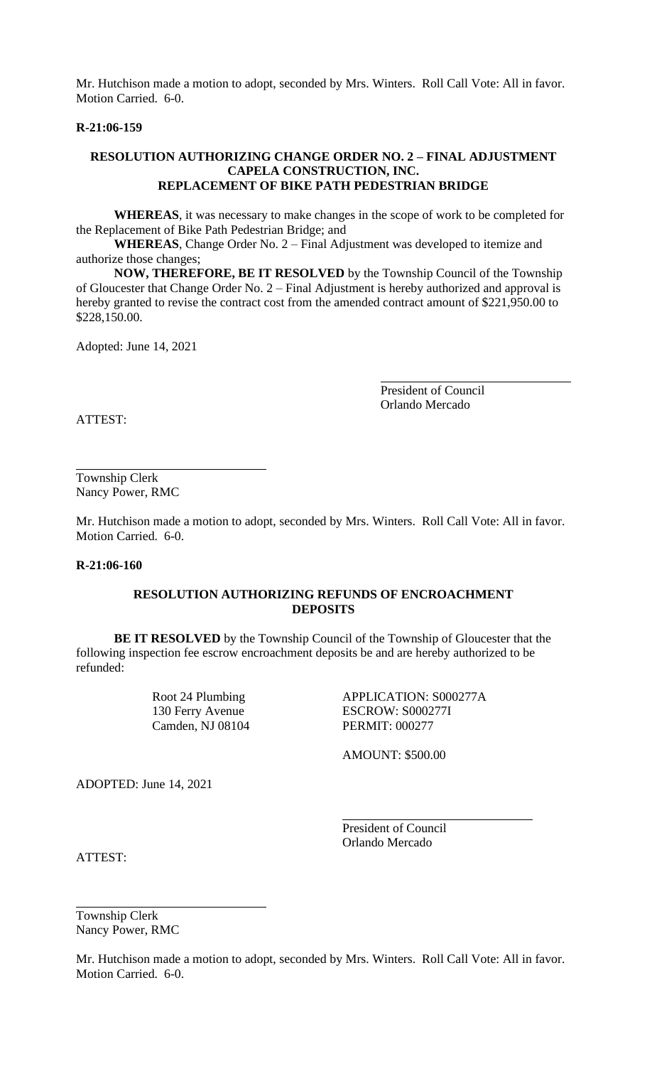Mr. Hutchison made a motion to adopt, seconded by Mrs. Winters. Roll Call Vote: All in favor. Motion Carried. 6-0.

## **R-21:06-159**

## **RESOLUTION AUTHORIZING CHANGE ORDER NO. 2 – FINAL ADJUSTMENT CAPELA CONSTRUCTION, INC. REPLACEMENT OF BIKE PATH PEDESTRIAN BRIDGE**

**WHEREAS**, it was necessary to make changes in the scope of work to be completed for the Replacement of Bike Path Pedestrian Bridge; and

**WHEREAS**, Change Order No. 2 – Final Adjustment was developed to itemize and authorize those changes;

**NOW, THEREFORE, BE IT RESOLVED** by the Township Council of the Township of Gloucester that Change Order No. 2 – Final Adjustment is hereby authorized and approval is hereby granted to revise the contract cost from the amended contract amount of \$221,950.00 to \$228,150.00.

Adopted: June 14, 2021

President of Council Orlando Mercado

ATTEST:

Township Clerk Nancy Power, RMC

Mr. Hutchison made a motion to adopt, seconded by Mrs. Winters. Roll Call Vote: All in favor. Motion Carried. 6-0.

### **R-21:06-160**

## **RESOLUTION AUTHORIZING REFUNDS OF ENCROACHMENT DEPOSITS**

**BE IT RESOLVED** by the Township Council of the Township of Gloucester that the following inspection fee escrow encroachment deposits be and are hereby authorized to be refunded:

Camden, NJ 08104 PERMIT: 000277

Root 24 Plumbing APPLICATION: S000277A 130 Ferry Avenue ESCROW: S000277I

AMOUNT: \$500.00

ADOPTED: June 14, 2021

President of Council Orlando Mercado

ATTEST:

Township Clerk Nancy Power, RMC

Mr. Hutchison made a motion to adopt, seconded by Mrs. Winters. Roll Call Vote: All in favor. Motion Carried. 6-0.

l,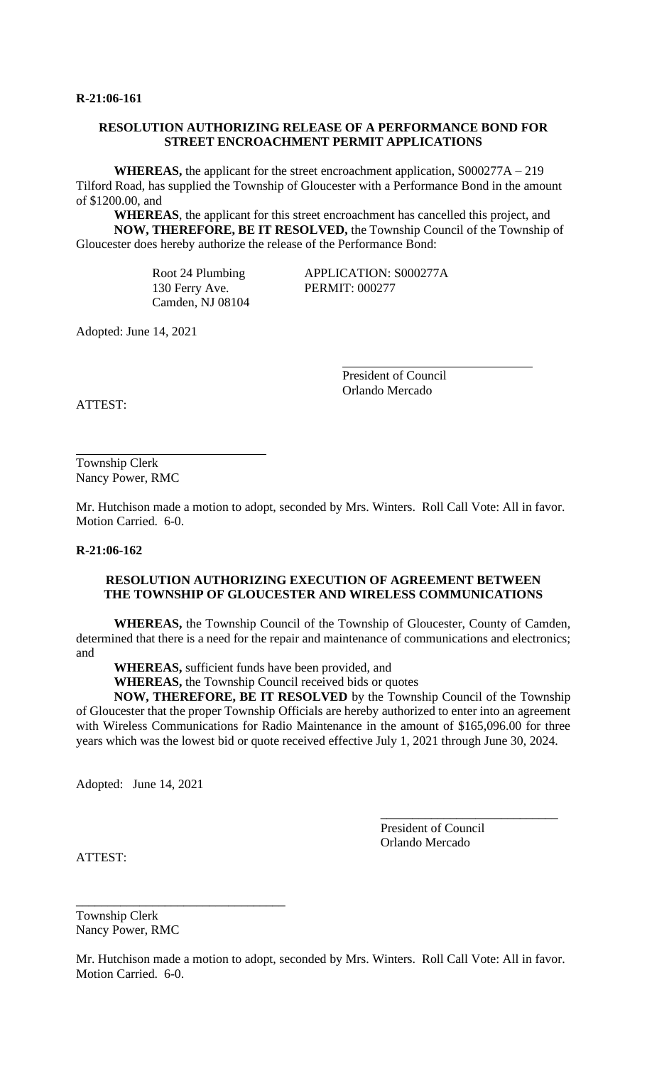# **RESOLUTION AUTHORIZING RELEASE OF A PERFORMANCE BOND FOR STREET ENCROACHMENT PERMIT APPLICATIONS**

**WHEREAS,** the applicant for the street encroachment application, S000277A – 219 Tilford Road, has supplied the Township of Gloucester with a Performance Bond in the amount of \$1200.00, and

**WHEREAS**, the applicant for this street encroachment has cancelled this project, and **NOW, THEREFORE, BE IT RESOLVED,** the Township Council of the Township of Gloucester does hereby authorize the release of the Performance Bond:

> 130 Ferry Ave. PERMIT: 000277 Camden, NJ 08104

Root 24 Plumbing APPLICATION: S000277A

Adopted: June 14, 2021

President of Council Orlando Mercado

i<br>L

ATTEST:

Township Clerk Nancy Power, RMC

Mr. Hutchison made a motion to adopt, seconded by Mrs. Winters. Roll Call Vote: All in favor. Motion Carried. 6-0.

**R-21:06-162**

# **RESOLUTION AUTHORIZING EXECUTION OF AGREEMENT BETWEEN THE TOWNSHIP OF GLOUCESTER AND WIRELESS COMMUNICATIONS**

**WHEREAS,** the Township Council of the Township of Gloucester, County of Camden, determined that there is a need for the repair and maintenance of communications and electronics; and

**WHEREAS,** sufficient funds have been provided, and

**WHEREAS,** the Township Council received bids or quotes

i<br>L

**NOW, THEREFORE, BE IT RESOLVED** by the Township Council of the Township of Gloucester that the proper Township Officials are hereby authorized to enter into an agreement with Wireless Communications for Radio Maintenance in the amount of \$165,096.00 for three years which was the lowest bid or quote received effective July 1, 2021 through June 30, 2024.

Adopted: June 14, 2021

President of Council Orlando Mercado

\_\_\_\_\_\_\_\_\_\_\_\_\_\_\_\_\_\_\_\_\_\_\_\_\_\_\_\_

ATTEST:

Township Clerk Nancy Power, RMC

\_\_\_\_\_\_\_\_\_\_\_\_\_\_\_\_\_\_\_\_\_\_\_\_\_\_\_\_\_\_\_\_\_

Mr. Hutchison made a motion to adopt, seconded by Mrs. Winters. Roll Call Vote: All in favor. Motion Carried. 6-0.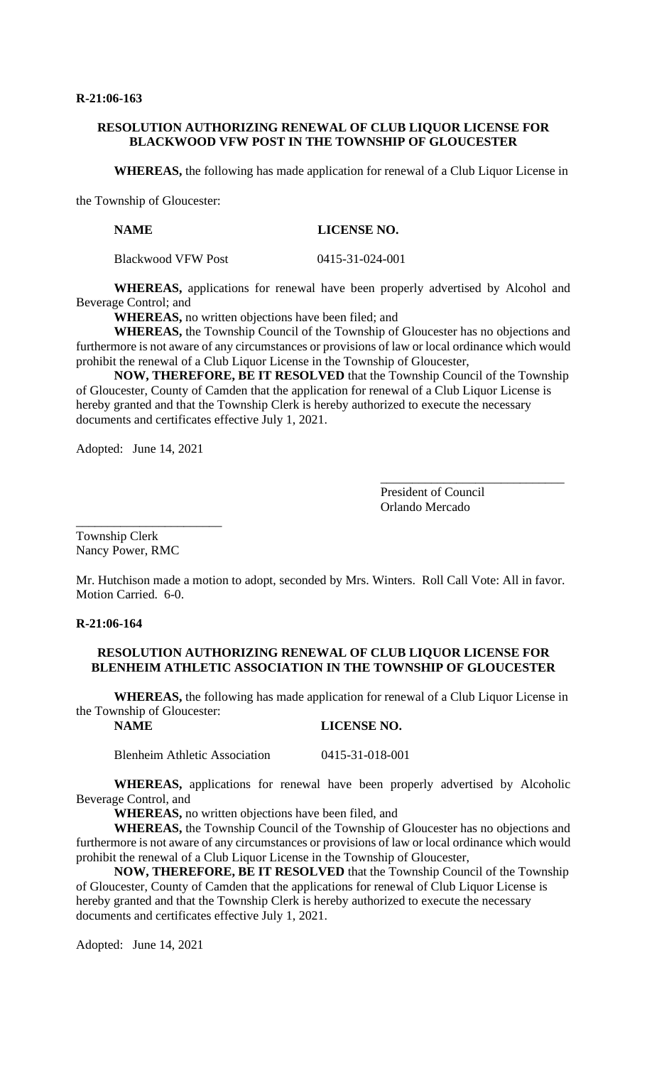# **RESOLUTION AUTHORIZING RENEWAL OF CLUB LIQUOR LICENSE FOR BLACKWOOD VFW POST IN THE TOWNSHIP OF GLOUCESTER**

**WHEREAS,** the following has made application for renewal of a Club Liquor License in

the Township of Gloucester:

**NAME LICENSE NO.**

Blackwood VFW Post 0415-31-024-001

**WHEREAS,** applications for renewal have been properly advertised by Alcohol and Beverage Control; and

**WHEREAS,** no written objections have been filed; and

**WHEREAS,** the Township Council of the Township of Gloucester has no objections and furthermore is not aware of any circumstances or provisions of law or local ordinance which would prohibit the renewal of a Club Liquor License in the Township of Gloucester,

**NOW, THEREFORE, BE IT RESOLVED** that the Township Council of the Township of Gloucester, County of Camden that the application for renewal of a Club Liquor License is hereby granted and that the Township Clerk is hereby authorized to execute the necessary documents and certificates effective July 1, 2021.

Adopted: June 14, 2021

\_\_\_\_\_\_\_\_\_\_\_\_\_\_\_\_\_\_\_\_\_\_\_

President of Council Orlando Mercado

\_\_\_\_\_\_\_\_\_\_\_\_\_\_\_\_\_\_\_\_\_\_\_\_\_\_\_\_\_

Township Clerk Nancy Power, RMC

Mr. Hutchison made a motion to adopt, seconded by Mrs. Winters. Roll Call Vote: All in favor. Motion Carried. 6-0.

# **R-21:06-164**

## **RESOLUTION AUTHORIZING RENEWAL OF CLUB LIQUOR LICENSE FOR BLENHEIM ATHLETIC ASSOCIATION IN THE TOWNSHIP OF GLOUCESTER**

**WHEREAS,** the following has made application for renewal of a Club Liquor License in the Township of Gloucester:

**NAME LICENSE NO.**

Blenheim Athletic Association 0415-31-018-001

**WHEREAS,** applications for renewal have been properly advertised by Alcoholic Beverage Control, and

**WHEREAS,** no written objections have been filed, and

**WHEREAS,** the Township Council of the Township of Gloucester has no objections and furthermore is not aware of any circumstances or provisions of law or local ordinance which would prohibit the renewal of a Club Liquor License in the Township of Gloucester,

**NOW, THEREFORE, BE IT RESOLVED** that the Township Council of the Township of Gloucester, County of Camden that the applications for renewal of Club Liquor License is hereby granted and that the Township Clerk is hereby authorized to execute the necessary documents and certificates effective July 1, 2021.

Adopted: June 14, 2021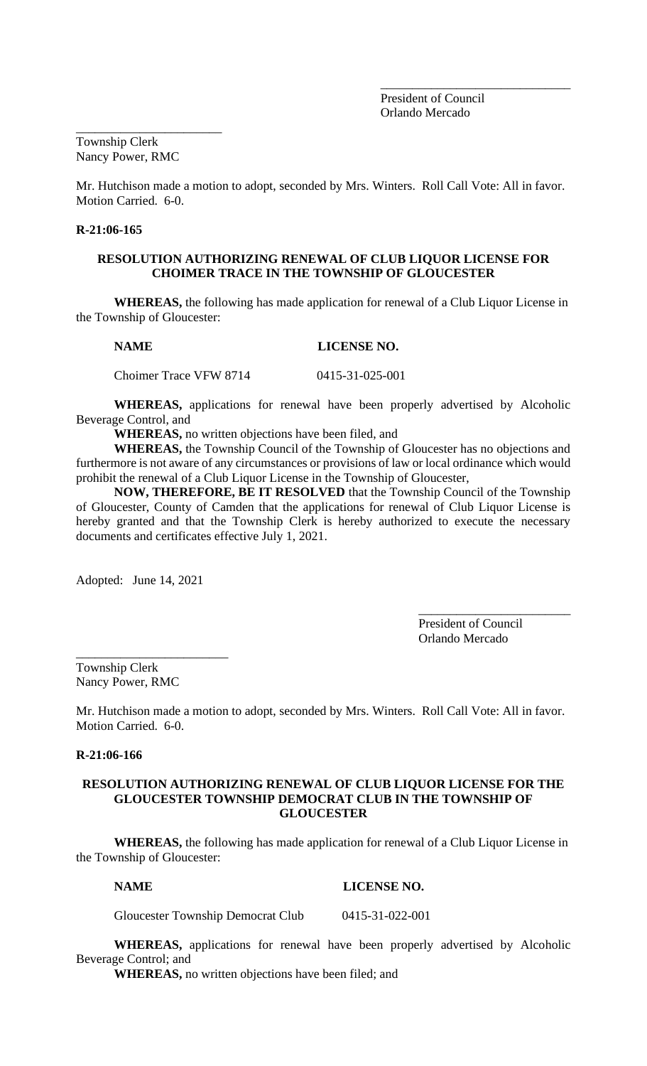President of Council Orlando Mercado

\_\_\_\_\_\_\_\_\_\_\_\_\_\_\_\_\_\_\_\_\_\_\_\_\_\_\_\_\_\_

Township Clerk Nancy Power, RMC

\_\_\_\_\_\_\_\_\_\_\_\_\_\_\_\_\_\_\_\_\_\_\_

Mr. Hutchison made a motion to adopt, seconded by Mrs. Winters. Roll Call Vote: All in favor. Motion Carried. 6-0.

## **R-21:06-165**

## **RESOLUTION AUTHORIZING RENEWAL OF CLUB LIQUOR LICENSE FOR CHOIMER TRACE IN THE TOWNSHIP OF GLOUCESTER**

**WHEREAS,** the following has made application for renewal of a Club Liquor License in the Township of Gloucester:

**NAME** LICENSE NO.

Choimer Trace VFW 8714 0415-31-025-001

**WHEREAS,** applications for renewal have been properly advertised by Alcoholic Beverage Control, and

**WHEREAS,** no written objections have been filed, and

**WHEREAS,** the Township Council of the Township of Gloucester has no objections and furthermore is not aware of any circumstances or provisions of law or local ordinance which would prohibit the renewal of a Club Liquor License in the Township of Gloucester,

**NOW, THEREFORE, BE IT RESOLVED** that the Township Council of the Township of Gloucester, County of Camden that the applications for renewal of Club Liquor License is hereby granted and that the Township Clerk is hereby authorized to execute the necessary documents and certificates effective July 1, 2021.

Adopted: June 14, 2021

\_\_\_\_\_\_\_\_\_\_\_\_\_\_\_\_\_\_\_\_\_\_\_\_

President of Council Orlando Mercado

\_\_\_\_\_\_\_\_\_\_\_\_\_\_\_\_\_\_\_\_\_\_\_\_

Township Clerk Nancy Power, RMC

Mr. Hutchison made a motion to adopt, seconded by Mrs. Winters. Roll Call Vote: All in favor. Motion Carried. 6-0.

# **R-21:06-166**

# **RESOLUTION AUTHORIZING RENEWAL OF CLUB LIQUOR LICENSE FOR THE GLOUCESTER TOWNSHIP DEMOCRAT CLUB IN THE TOWNSHIP OF GLOUCESTER**

**WHEREAS,** the following has made application for renewal of a Club Liquor License in the Township of Gloucester:

## **NAME LICENSE NO.**

Gloucester Township Democrat Club 0415-31-022-001

**WHEREAS,** applications for renewal have been properly advertised by Alcoholic Beverage Control; and

**WHEREAS,** no written objections have been filed; and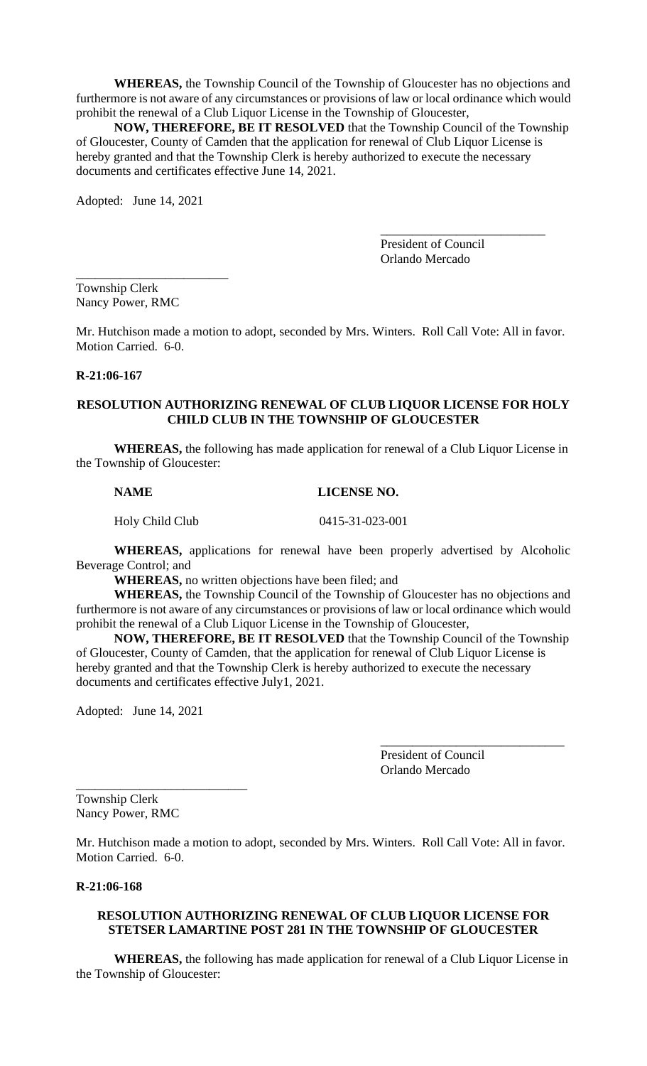**WHEREAS,** the Township Council of the Township of Gloucester has no objections and furthermore is not aware of any circumstances or provisions of law or local ordinance which would prohibit the renewal of a Club Liquor License in the Township of Gloucester,

**NOW, THEREFORE, BE IT RESOLVED** that the Township Council of the Township of Gloucester, County of Camden that the application for renewal of Club Liquor License is hereby granted and that the Township Clerk is hereby authorized to execute the necessary documents and certificates effective June 14, 2021.

Adopted: June 14, 2021

\_\_\_\_\_\_\_\_\_\_\_\_\_\_\_\_\_\_\_\_\_\_\_\_\_\_ President of Council Orlando Mercado

\_\_\_\_\_\_\_\_\_\_\_\_\_\_\_\_\_\_\_\_\_\_\_\_ Township Clerk Nancy Power, RMC

Mr. Hutchison made a motion to adopt, seconded by Mrs. Winters. Roll Call Vote: All in favor. Motion Carried. 6-0.

# **R-21:06-167**

## **RESOLUTION AUTHORIZING RENEWAL OF CLUB LIQUOR LICENSE FOR HOLY CHILD CLUB IN THE TOWNSHIP OF GLOUCESTER**

**WHEREAS,** the following has made application for renewal of a Club Liquor License in the Township of Gloucester:

**NAME LICENSE NO.**

Holy Child Club 0415-31-023-001

**WHEREAS,** applications for renewal have been properly advertised by Alcoholic Beverage Control; and

**WHEREAS,** no written objections have been filed; and

**WHEREAS,** the Township Council of the Township of Gloucester has no objections and furthermore is not aware of any circumstances or provisions of law or local ordinance which would prohibit the renewal of a Club Liquor License in the Township of Gloucester,

**NOW, THEREFORE, BE IT RESOLVED** that the Township Council of the Township of Gloucester, County of Camden, that the application for renewal of Club Liquor License is hereby granted and that the Township Clerk is hereby authorized to execute the necessary documents and certificates effective July1, 2021.

Adopted: June 14, 2021

\_\_\_\_\_\_\_\_\_\_\_\_\_\_\_\_\_\_\_\_\_\_\_\_\_\_\_

President of Council Orlando Mercado

\_\_\_\_\_\_\_\_\_\_\_\_\_\_\_\_\_\_\_\_\_\_\_\_\_\_\_\_\_

Township Clerk Nancy Power, RMC

Mr. Hutchison made a motion to adopt, seconded by Mrs. Winters. Roll Call Vote: All in favor. Motion Carried. 6-0.

# **R-21:06-168**

# **RESOLUTION AUTHORIZING RENEWAL OF CLUB LIQUOR LICENSE FOR STETSER LAMARTINE POST 281 IN THE TOWNSHIP OF GLOUCESTER**

**WHEREAS,** the following has made application for renewal of a Club Liquor License in the Township of Gloucester: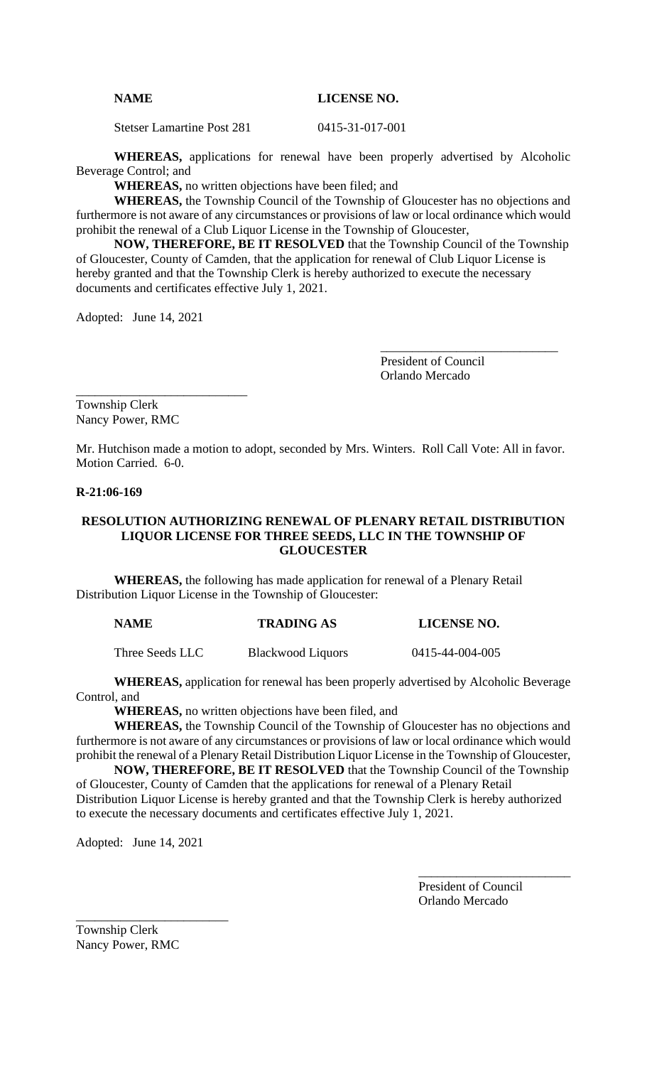# **NAME LICENSE NO.**

Stetser Lamartine Post 281 0415-31-017-001

**WHEREAS,** applications for renewal have been properly advertised by Alcoholic Beverage Control; and

**WHEREAS,** no written objections have been filed; and

**WHEREAS,** the Township Council of the Township of Gloucester has no objections and furthermore is not aware of any circumstances or provisions of law or local ordinance which would prohibit the renewal of a Club Liquor License in the Township of Gloucester,

**NOW, THEREFORE, BE IT RESOLVED** that the Township Council of the Township of Gloucester, County of Camden, that the application for renewal of Club Liquor License is hereby granted and that the Township Clerk is hereby authorized to execute the necessary documents and certificates effective July 1, 2021.

Adopted: June 14, 2021

\_\_\_\_\_\_\_\_\_\_\_\_\_\_\_\_\_\_\_\_\_\_\_\_\_\_\_

President of Council Orlando Mercado

\_\_\_\_\_\_\_\_\_\_\_\_\_\_\_\_\_\_\_\_\_\_\_\_\_\_\_\_

Township Clerk Nancy Power, RMC

Mr. Hutchison made a motion to adopt, seconded by Mrs. Winters. Roll Call Vote: All in favor. Motion Carried. 6-0.

# **R-21:06-169**

# **RESOLUTION AUTHORIZING RENEWAL OF PLENARY RETAIL DISTRIBUTION LIQUOR LICENSE FOR THREE SEEDS, LLC IN THE TOWNSHIP OF GLOUCESTER**

**WHEREAS,** the following has made application for renewal of a Plenary Retail Distribution Liquor License in the Township of Gloucester:

| <b>NAME</b> | <b>TRADING AS</b> | <b>LICENSE NO.</b> |
|-------------|-------------------|--------------------|
|             |                   |                    |

Three Seeds LLC Blackwood Liquors 0415-44-004-005

**WHEREAS,** application for renewal has been properly advertised by Alcoholic Beverage Control, and

**WHEREAS,** no written objections have been filed, and

**WHEREAS,** the Township Council of the Township of Gloucester has no objections and furthermore is not aware of any circumstances or provisions of law or local ordinance which would prohibit the renewal of a Plenary Retail Distribution Liquor License in the Township of Gloucester,

**NOW, THEREFORE, BE IT RESOLVED** that the Township Council of the Township of Gloucester, County of Camden that the applications for renewal of a Plenary Retail Distribution Liquor License is hereby granted and that the Township Clerk is hereby authorized to execute the necessary documents and certificates effective July 1, 2021.

Adopted: June 14, 2021

\_\_\_\_\_\_\_\_\_\_\_\_\_\_\_\_\_\_\_\_\_\_\_\_

President of Council Orlando Mercado

\_\_\_\_\_\_\_\_\_\_\_\_\_\_\_\_\_\_\_\_\_\_\_\_

Township Clerk Nancy Power, RMC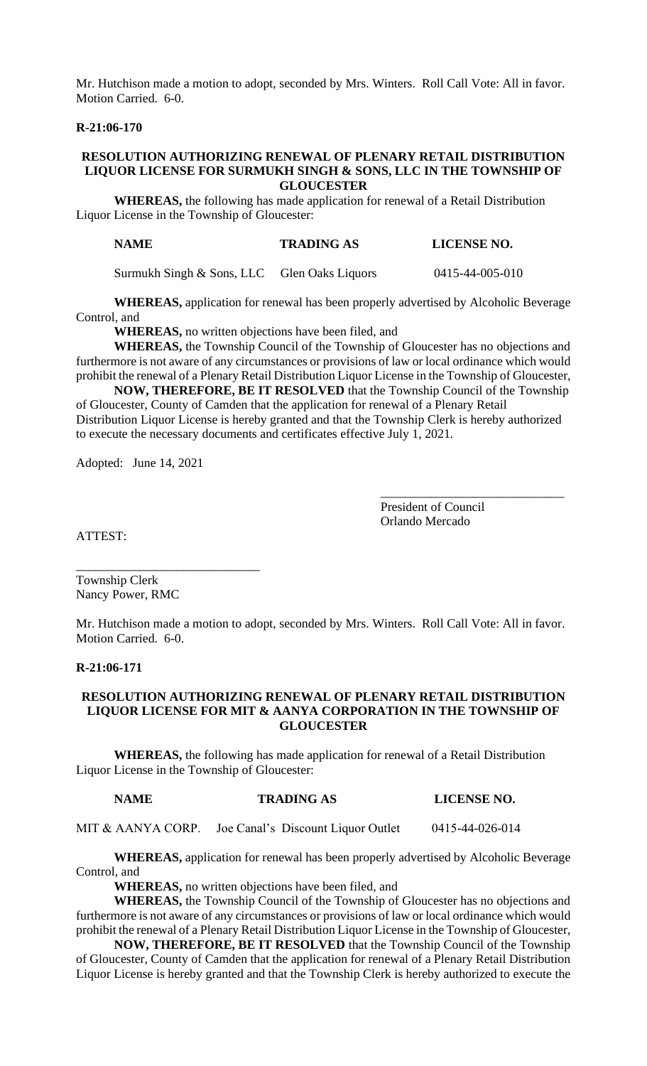Mr. Hutchison made a motion to adopt, seconded by Mrs. Winters. Roll Call Vote: All in favor. Motion Carried. 6-0.

# **R-21:06-170**

## **RESOLUTION AUTHORIZING RENEWAL OF PLENARY RETAIL DISTRIBUTION LIQUOR LICENSE FOR SURMUKH SINGH & SONS, LLC IN THE TOWNSHIP OF GLOUCESTER**

**WHEREAS,** the following has made application for renewal of a Retail Distribution Liquor License in the Township of Gloucester:

| <b>NAME</b> | <b>TRADING AS</b> | <b>LICENSE NO.</b> |
|-------------|-------------------|--------------------|
|-------------|-------------------|--------------------|

Surmukh Singh & Sons, LLC Glen Oaks Liquors 0415-44-005-010

**WHEREAS,** application for renewal has been properly advertised by Alcoholic Beverage Control, and

**WHEREAS,** no written objections have been filed, and

**WHEREAS,** the Township Council of the Township of Gloucester has no objections and furthermore is not aware of any circumstances or provisions of law or local ordinance which would prohibit the renewal of a Plenary Retail Distribution Liquor License in the Township of Gloucester,

**NOW, THEREFORE, BE IT RESOLVED** that the Township Council of the Township of Gloucester, County of Camden that the application for renewal of a Plenary Retail Distribution Liquor License is hereby granted and that the Township Clerk is hereby authorized to execute the necessary documents and certificates effective July 1, 2021.

Adopted: June 14, 2021

President of Council Orlando Mercado

\_\_\_\_\_\_\_\_\_\_\_\_\_\_\_\_\_\_\_\_\_\_\_\_\_\_\_\_\_

ATTEST:

Township Clerk Nancy Power, RMC

\_\_\_\_\_\_\_\_\_\_\_\_\_\_\_\_\_\_\_\_\_\_\_\_\_\_\_\_\_

Mr. Hutchison made a motion to adopt, seconded by Mrs. Winters. Roll Call Vote: All in favor. Motion Carried. 6-0.

## **R-21:06-171**

## **RESOLUTION AUTHORIZING RENEWAL OF PLENARY RETAIL DISTRIBUTION LIQUOR LICENSE FOR MIT & AANYA CORPORATION IN THE TOWNSHIP OF GLOUCESTER**

**WHEREAS,** the following has made application for renewal of a Retail Distribution Liquor License in the Township of Gloucester:

# **NAME TRADING AS LICENSE NO.**

MIT & AANYA CORP. Joe Canal's Discount Liquor Outlet 0415-44-026-014

**WHEREAS,** application for renewal has been properly advertised by Alcoholic Beverage Control, and

**WHEREAS,** no written objections have been filed, and

**WHEREAS,** the Township Council of the Township of Gloucester has no objections and furthermore is not aware of any circumstances or provisions of law or local ordinance which would prohibit the renewal of a Plenary Retail Distribution Liquor License in the Township of Gloucester,

**NOW, THEREFORE, BE IT RESOLVED** that the Township Council of the Township of Gloucester, County of Camden that the application for renewal of a Plenary Retail Distribution Liquor License is hereby granted and that the Township Clerk is hereby authorized to execute the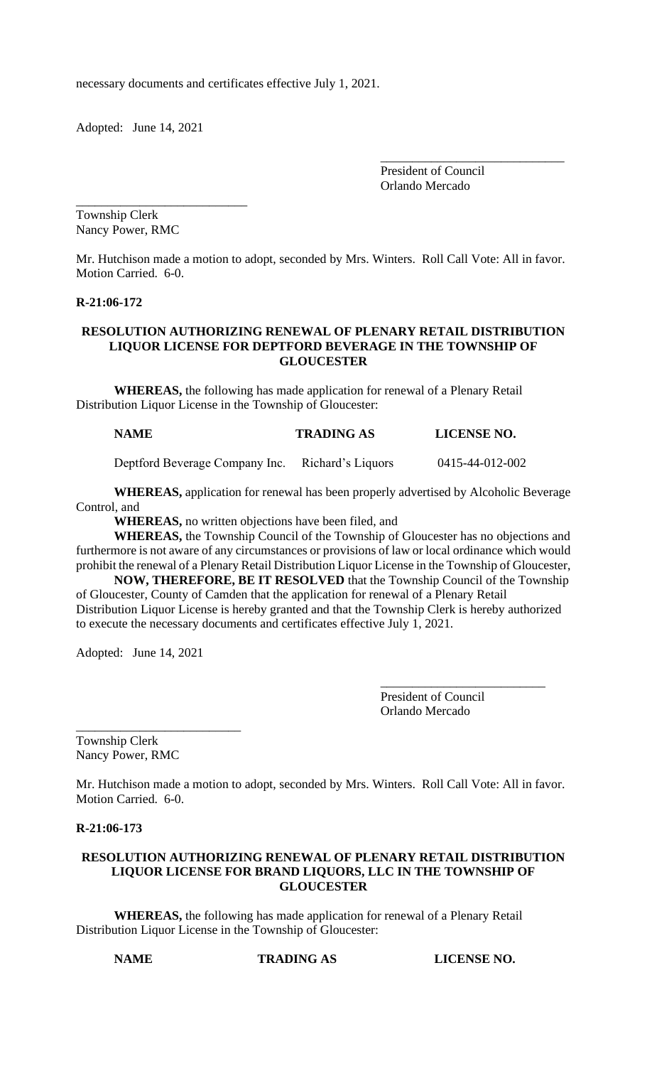necessary documents and certificates effective July 1, 2021.

Adopted: June 14, 2021

\_\_\_\_\_\_\_\_\_\_\_\_\_\_\_\_\_\_\_\_\_\_\_\_\_\_\_

\_\_\_\_\_\_\_\_\_\_\_\_\_\_\_\_\_\_\_\_\_\_\_\_\_\_\_\_\_ President of Council Orlando Mercado

Township Clerk Nancy Power, RMC

Mr. Hutchison made a motion to adopt, seconded by Mrs. Winters. Roll Call Vote: All in favor. Motion Carried. 6-0.

## **R-21:06-172**

# **RESOLUTION AUTHORIZING RENEWAL OF PLENARY RETAIL DISTRIBUTION LIQUOR LICENSE FOR DEPTFORD BEVERAGE IN THE TOWNSHIP OF GLOUCESTER**

**WHEREAS,** the following has made application for renewal of a Plenary Retail Distribution Liquor License in the Township of Gloucester:

# **NAME TRADING AS LICENSE NO.**

Deptford Beverage Company Inc. Richard's Liquors 0415-44-012-002

**WHEREAS,** application for renewal has been properly advertised by Alcoholic Beverage Control, and

**WHEREAS,** no written objections have been filed, and

**WHEREAS,** the Township Council of the Township of Gloucester has no objections and furthermore is not aware of any circumstances or provisions of law or local ordinance which would prohibit the renewal of a Plenary Retail Distribution Liquor License in the Township of Gloucester,

**NOW, THEREFORE, BE IT RESOLVED** that the Township Council of the Township of Gloucester, County of Camden that the application for renewal of a Plenary Retail Distribution Liquor License is hereby granted and that the Township Clerk is hereby authorized to execute the necessary documents and certificates effective July 1, 2021.

Adopted: June 14, 2021

\_\_\_\_\_\_\_\_\_\_\_\_\_\_\_\_\_\_\_\_\_\_\_\_\_\_

President of Council Orlando Mercado

\_\_\_\_\_\_\_\_\_\_\_\_\_\_\_\_\_\_\_\_\_\_\_\_\_\_

Township Clerk Nancy Power, RMC

Mr. Hutchison made a motion to adopt, seconded by Mrs. Winters. Roll Call Vote: All in favor. Motion Carried. 6-0.

**R-21:06-173**

# **RESOLUTION AUTHORIZING RENEWAL OF PLENARY RETAIL DISTRIBUTION LIQUOR LICENSE FOR BRAND LIQUORS, LLC IN THE TOWNSHIP OF GLOUCESTER**

**WHEREAS,** the following has made application for renewal of a Plenary Retail Distribution Liquor License in the Township of Gloucester:

**NAME TRADING AS LICENSE NO.**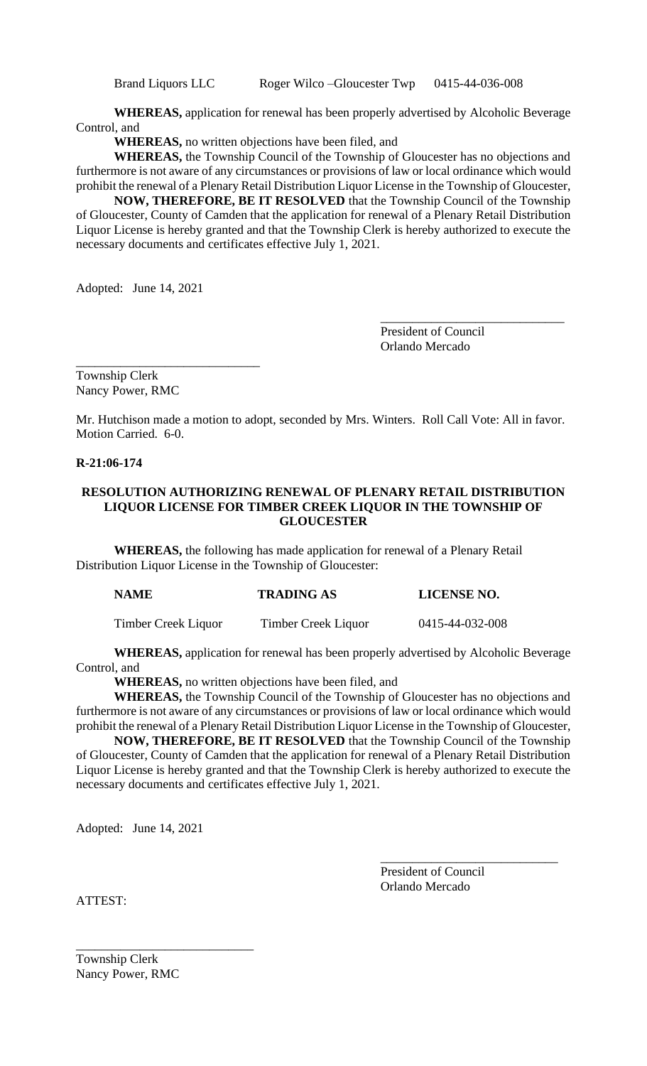Brand Liquors LLC Roger Wilco –Gloucester Twp 0415-44-036-008

**WHEREAS,** application for renewal has been properly advertised by Alcoholic Beverage Control, and

**WHEREAS,** no written objections have been filed, and

**WHEREAS,** the Township Council of the Township of Gloucester has no objections and furthermore is not aware of any circumstances or provisions of law or local ordinance which would prohibit the renewal of a Plenary Retail Distribution Liquor License in the Township of Gloucester,

**NOW, THEREFORE, BE IT RESOLVED** that the Township Council of the Township of Gloucester, County of Camden that the application for renewal of a Plenary Retail Distribution Liquor License is hereby granted and that the Township Clerk is hereby authorized to execute the necessary documents and certificates effective July 1, 2021.

Adopted: June 14, 2021

President of Council Orlando Mercado

\_\_\_\_\_\_\_\_\_\_\_\_\_\_\_\_\_\_\_\_\_\_\_\_\_\_\_\_\_

\_\_\_\_\_\_\_\_\_\_\_\_\_\_\_\_\_\_\_\_\_\_\_\_\_\_\_\_\_ Township Clerk Nancy Power, RMC

Mr. Hutchison made a motion to adopt, seconded by Mrs. Winters. Roll Call Vote: All in favor. Motion Carried. 6-0.

# **R-21:06-174**

# **RESOLUTION AUTHORIZING RENEWAL OF PLENARY RETAIL DISTRIBUTION LIQUOR LICENSE FOR TIMBER CREEK LIQUOR IN THE TOWNSHIP OF GLOUCESTER**

**WHEREAS,** the following has made application for renewal of a Plenary Retail Distribution Liquor License in the Township of Gloucester:

| <b>NAME</b> | <b>TRADING AS</b> | <b>LICENSE NO.</b> |
|-------------|-------------------|--------------------|
|             |                   |                    |

Timber Creek Liquor Timber Creek Liquor 0415-44-032-008

**WHEREAS,** application for renewal has been properly advertised by Alcoholic Beverage Control, and

**WHEREAS,** no written objections have been filed, and

**WHEREAS,** the Township Council of the Township of Gloucester has no objections and furthermore is not aware of any circumstances or provisions of law or local ordinance which would prohibit the renewal of a Plenary Retail Distribution Liquor License in the Township of Gloucester,

**NOW, THEREFORE, BE IT RESOLVED** that the Township Council of the Township of Gloucester, County of Camden that the application for renewal of a Plenary Retail Distribution Liquor License is hereby granted and that the Township Clerk is hereby authorized to execute the necessary documents and certificates effective July 1, 2021.

Adopted: June 14, 2021

President of Council Orlando Mercado

\_\_\_\_\_\_\_\_\_\_\_\_\_\_\_\_\_\_\_\_\_\_\_\_\_\_\_\_

ATTEST:

Township Clerk Nancy Power, RMC

\_\_\_\_\_\_\_\_\_\_\_\_\_\_\_\_\_\_\_\_\_\_\_\_\_\_\_\_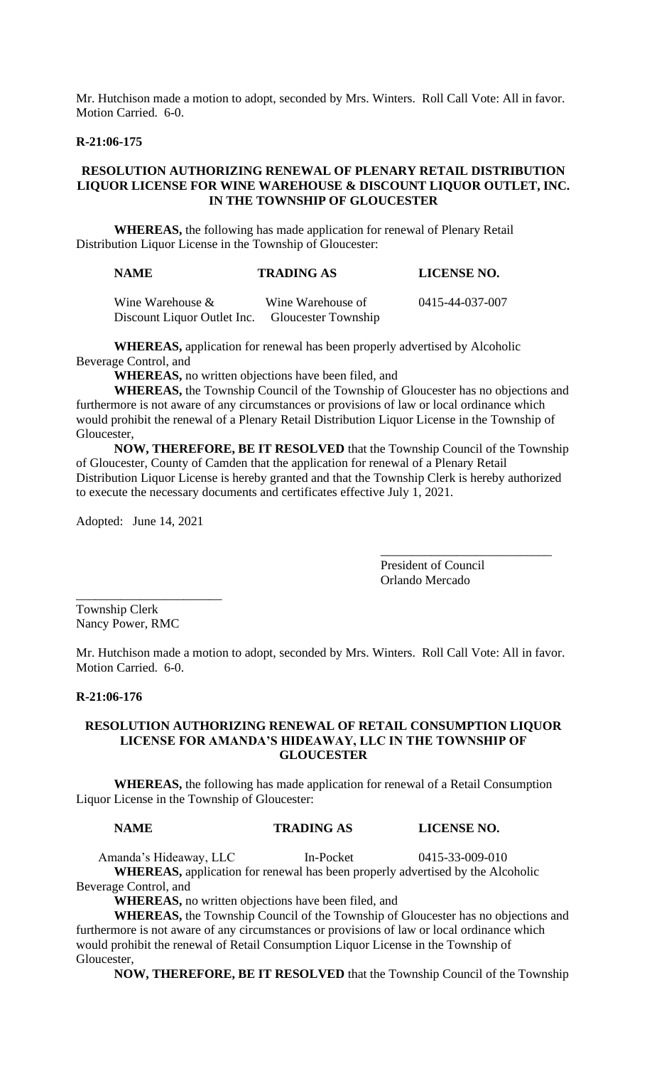Mr. Hutchison made a motion to adopt, seconded by Mrs. Winters. Roll Call Vote: All in favor. Motion Carried. 6-0.

## **R-21:06-175**

# **RESOLUTION AUTHORIZING RENEWAL OF PLENARY RETAIL DISTRIBUTION LIQUOR LICENSE FOR WINE WAREHOUSE & DISCOUNT LIQUOR OUTLET, INC. IN THE TOWNSHIP OF GLOUCESTER**

**WHEREAS,** the following has made application for renewal of Plenary Retail Distribution Liquor License in the Township of Gloucester:

### **NAME TRADING AS LICENSE NO.**

| Wine Warehouse $\&$         | Wine Warehouse of          | 0415-44-037-007 |
|-----------------------------|----------------------------|-----------------|
| Discount Liquor Outlet Inc. | <b>Gloucester Township</b> |                 |

**WHEREAS,** application for renewal has been properly advertised by Alcoholic Beverage Control, and

**WHEREAS,** no written objections have been filed, and

**WHEREAS,** the Township Council of the Township of Gloucester has no objections and furthermore is not aware of any circumstances or provisions of law or local ordinance which would prohibit the renewal of a Plenary Retail Distribution Liquor License in the Township of Gloucester,

**NOW, THEREFORE, BE IT RESOLVED** that the Township Council of the Township of Gloucester, County of Camden that the application for renewal of a Plenary Retail Distribution Liquor License is hereby granted and that the Township Clerk is hereby authorized to execute the necessary documents and certificates effective July 1, 2021.

Adopted: June 14, 2021

\_\_\_\_\_\_\_\_\_\_\_\_\_\_\_\_\_\_\_\_\_\_\_

President of Council Orlando Mercado

\_\_\_\_\_\_\_\_\_\_\_\_\_\_\_\_\_\_\_\_\_\_\_\_\_\_\_

Township Clerk Nancy Power, RMC

Mr. Hutchison made a motion to adopt, seconded by Mrs. Winters. Roll Call Vote: All in favor. Motion Carried. 6-0.

## **R-21:06-176**

## **RESOLUTION AUTHORIZING RENEWAL OF RETAIL CONSUMPTION LIQUOR LICENSE FOR AMANDA'S HIDEAWAY, LLC IN THE TOWNSHIP OF GLOUCESTER**

**WHEREAS,** the following has made application for renewal of a Retail Consumption Liquor License in the Township of Gloucester:

### **NAME TRADING AS LICENSE NO.**

Amanda's Hideaway, LLC In-Pocket 0415-33-009-010 **WHEREAS,** application for renewal has been properly advertised by the Alcoholic Beverage Control, and

**WHEREAS,** no written objections have been filed, and

**WHEREAS,** the Township Council of the Township of Gloucester has no objections and furthermore is not aware of any circumstances or provisions of law or local ordinance which would prohibit the renewal of Retail Consumption Liquor License in the Township of Gloucester,

**NOW, THEREFORE, BE IT RESOLVED** that the Township Council of the Township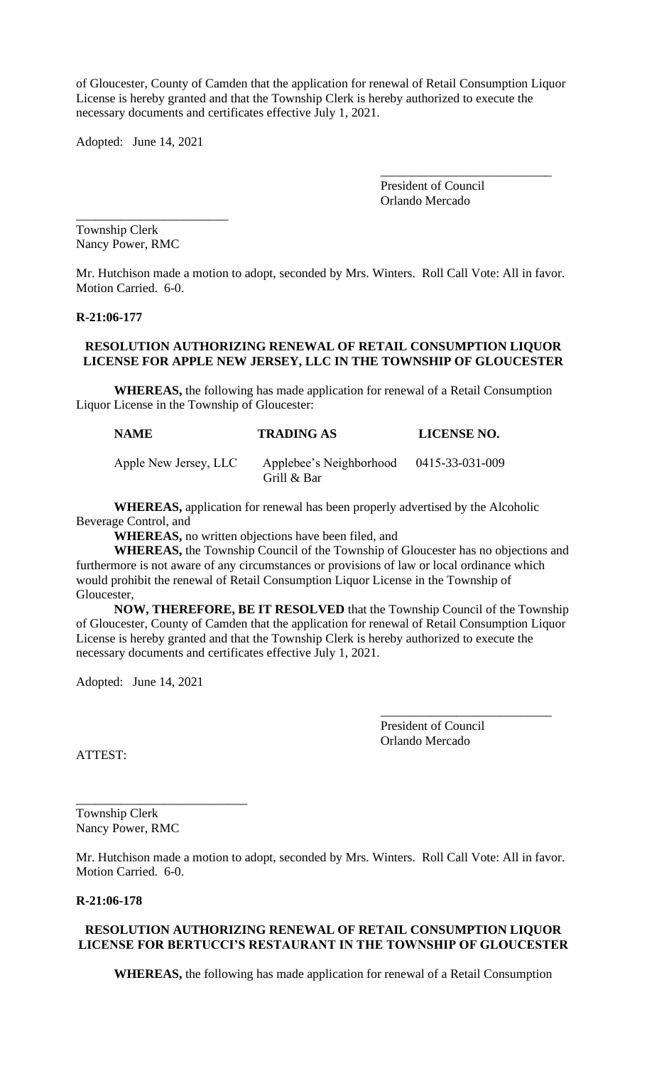of Gloucester, County of Camden that the application for renewal of Retail Consumption Liquor License is hereby granted and that the Township Clerk is hereby authorized to execute the necessary documents and certificates effective July 1, 2021.

Adopted: June 14, 2021

\_\_\_\_\_\_\_\_\_\_\_\_\_\_\_\_\_\_\_\_\_\_\_\_

President of Council Orlando Mercado

\_\_\_\_\_\_\_\_\_\_\_\_\_\_\_\_\_\_\_\_\_\_\_\_\_\_\_

Township Clerk Nancy Power, RMC

Mr. Hutchison made a motion to adopt, seconded by Mrs. Winters. Roll Call Vote: All in favor. Motion Carried. 6-0.

**R-21:06-177**

# **RESOLUTION AUTHORIZING RENEWAL OF RETAIL CONSUMPTION LIQUOR LICENSE FOR APPLE NEW JERSEY, LLC IN THE TOWNSHIP OF GLOUCESTER**

**WHEREAS,** the following has made application for renewal of a Retail Consumption Liquor License in the Township of Gloucester:

| <b>NAME</b>           | <b>TRADING AS</b>                      | <b>LICENSE NO.</b> |
|-----------------------|----------------------------------------|--------------------|
| Apple New Jersey, LLC | Applebee's Neighborhood<br>Grill & Bar | 0415-33-031-009    |

**WHEREAS,** application for renewal has been properly advertised by the Alcoholic Beverage Control, and

**WHEREAS,** no written objections have been filed, and

**WHEREAS,** the Township Council of the Township of Gloucester has no objections and furthermore is not aware of any circumstances or provisions of law or local ordinance which would prohibit the renewal of Retail Consumption Liquor License in the Township of Gloucester,

**NOW, THEREFORE, BE IT RESOLVED** that the Township Council of the Township of Gloucester, County of Camden that the application for renewal of Retail Consumption Liquor License is hereby granted and that the Township Clerk is hereby authorized to execute the necessary documents and certificates effective July 1, 2021.

Adopted: June 14, 2021

President of Council Orlando Mercado

\_\_\_\_\_\_\_\_\_\_\_\_\_\_\_\_\_\_\_\_\_\_\_\_\_\_\_

ATTEST:

Township Clerk Nancy Power, RMC

\_\_\_\_\_\_\_\_\_\_\_\_\_\_\_\_\_\_\_\_\_\_\_\_\_\_\_

Mr. Hutchison made a motion to adopt, seconded by Mrs. Winters. Roll Call Vote: All in favor. Motion Carried. 6-0.

**R-21:06-178**

# **RESOLUTION AUTHORIZING RENEWAL OF RETAIL CONSUMPTION LIQUOR LICENSE FOR BERTUCCI'S RESTAURANT IN THE TOWNSHIP OF GLOUCESTER**

**WHEREAS,** the following has made application for renewal of a Retail Consumption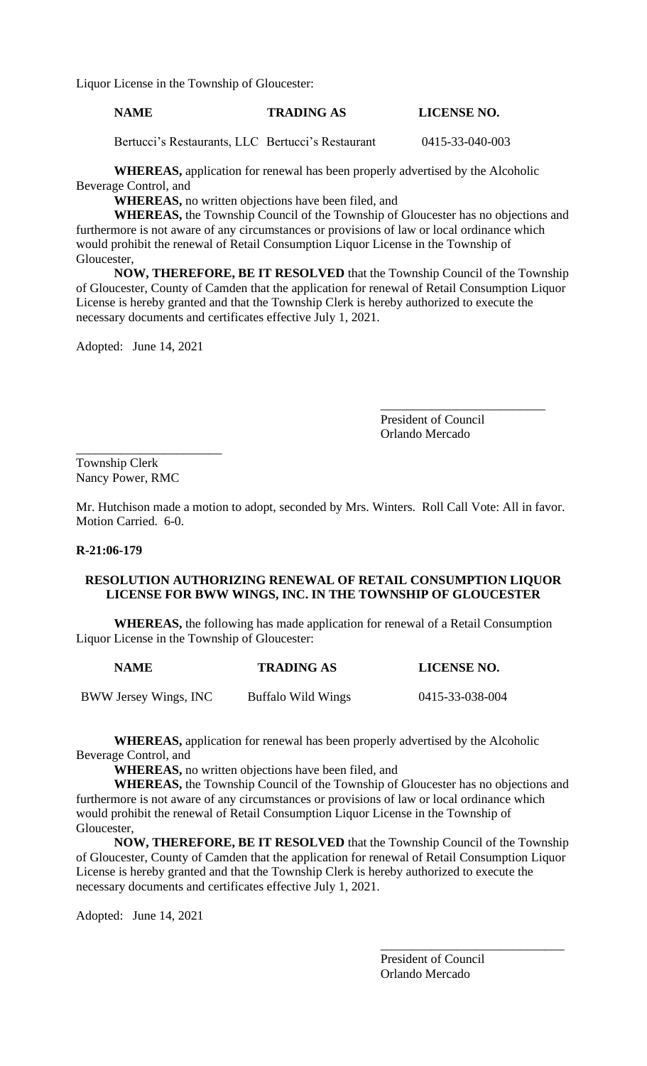Liquor License in the Township of Gloucester:

# **NAME TRADING AS LICENSE NO.**

Bertucci's Restaurants, LLC Bertucci's Restaurant 0415-33-040-003

**WHEREAS,** application for renewal has been properly advertised by the Alcoholic Beverage Control, and

**WHEREAS,** no written objections have been filed, and

**WHEREAS,** the Township Council of the Township of Gloucester has no objections and furthermore is not aware of any circumstances or provisions of law or local ordinance which would prohibit the renewal of Retail Consumption Liquor License in the Township of Gloucester,

**NOW, THEREFORE, BE IT RESOLVED** that the Township Council of the Township of Gloucester, County of Camden that the application for renewal of Retail Consumption Liquor License is hereby granted and that the Township Clerk is hereby authorized to execute the necessary documents and certificates effective July 1, 2021.

Adopted: June 14, 2021

\_\_\_\_\_\_\_\_\_\_\_\_\_\_\_\_\_\_\_\_\_\_\_\_\_\_ President of Council Orlando Mercado

\_\_\_\_\_\_\_\_\_\_\_\_\_\_\_\_\_\_\_\_\_\_\_ Township Clerk Nancy Power, RMC

Mr. Hutchison made a motion to adopt, seconded by Mrs. Winters. Roll Call Vote: All in favor. Motion Carried. 6-0.

## **R-21:06-179**

# **RESOLUTION AUTHORIZING RENEWAL OF RETAIL CONSUMPTION LIQUOR LICENSE FOR BWW WINGS, INC. IN THE TOWNSHIP OF GLOUCESTER**

**WHEREAS,** the following has made application for renewal of a Retail Consumption Liquor License in the Township of Gloucester:

| <b>NAME</b>           | <b>TRADING AS</b>  | LICENSE NO.     |
|-----------------------|--------------------|-----------------|
| BWW Jersey Wings, INC | Buffalo Wild Wings | 0415-33-038-004 |

**WHEREAS,** application for renewal has been properly advertised by the Alcoholic Beverage Control, and

**WHEREAS,** no written objections have been filed, and

**WHEREAS,** the Township Council of the Township of Gloucester has no objections and furthermore is not aware of any circumstances or provisions of law or local ordinance which would prohibit the renewal of Retail Consumption Liquor License in the Township of Gloucester,

**NOW, THEREFORE, BE IT RESOLVED** that the Township Council of the Township of Gloucester, County of Camden that the application for renewal of Retail Consumption Liquor License is hereby granted and that the Township Clerk is hereby authorized to execute the necessary documents and certificates effective July 1, 2021.

Adopted: June 14, 2021

President of Council Orlando Mercado

\_\_\_\_\_\_\_\_\_\_\_\_\_\_\_\_\_\_\_\_\_\_\_\_\_\_\_\_\_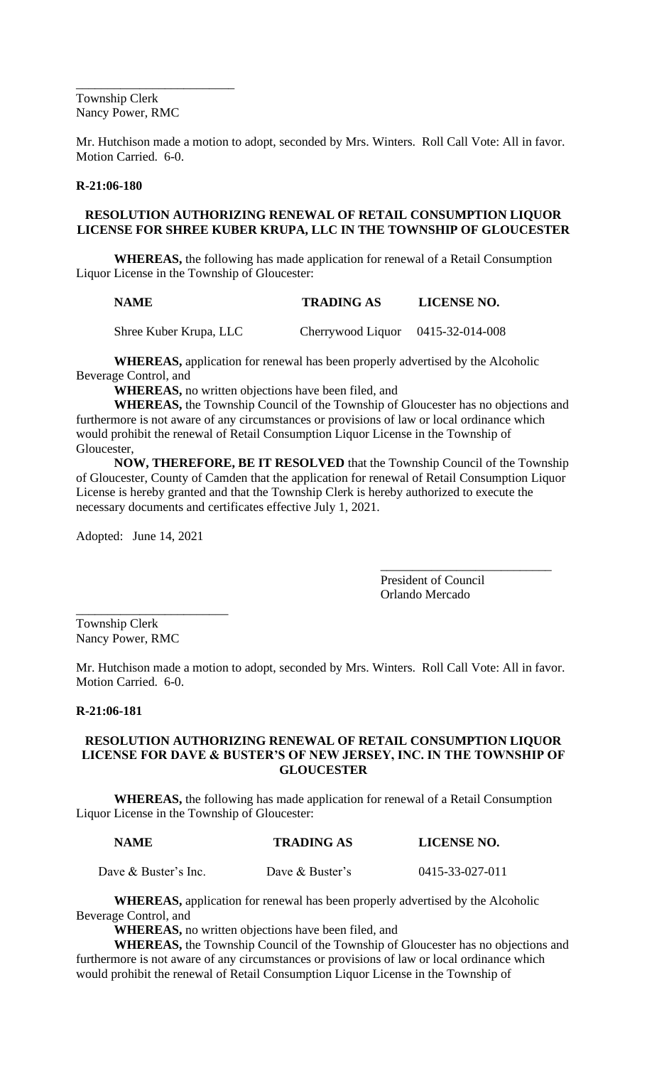\_\_\_\_\_\_\_\_\_\_\_\_\_\_\_\_\_\_\_\_\_\_\_\_\_ Township Clerk Nancy Power, RMC

Mr. Hutchison made a motion to adopt, seconded by Mrs. Winters. Roll Call Vote: All in favor. Motion Carried. 6-0.

# **R-21:06-180**

# **RESOLUTION AUTHORIZING RENEWAL OF RETAIL CONSUMPTION LIQUOR LICENSE FOR SHREE KUBER KRUPA, LLC IN THE TOWNSHIP OF GLOUCESTER**

**WHEREAS,** the following has made application for renewal of a Retail Consumption Liquor License in the Township of Gloucester:

| <b>NAME</b> | <b>TRADING AS</b> | <b>LICENSE NO.</b> |
|-------------|-------------------|--------------------|
|             |                   |                    |

Shree Kuber Krupa, LLC Cherrywood Liquor 0415-32-014-008

**WHEREAS,** application for renewal has been properly advertised by the Alcoholic Beverage Control, and

**WHEREAS,** no written objections have been filed, and

**WHEREAS,** the Township Council of the Township of Gloucester has no objections and furthermore is not aware of any circumstances or provisions of law or local ordinance which would prohibit the renewal of Retail Consumption Liquor License in the Township of Gloucester,

**NOW, THEREFORE, BE IT RESOLVED** that the Township Council of the Township of Gloucester, County of Camden that the application for renewal of Retail Consumption Liquor License is hereby granted and that the Township Clerk is hereby authorized to execute the necessary documents and certificates effective July 1, 2021.

Adopted: June 14, 2021

\_\_\_\_\_\_\_\_\_\_\_\_\_\_\_\_\_\_\_\_\_\_\_\_

President of Council Orlando Mercado

\_\_\_\_\_\_\_\_\_\_\_\_\_\_\_\_\_\_\_\_\_\_\_\_\_\_\_

Township Clerk Nancy Power, RMC

Mr. Hutchison made a motion to adopt, seconded by Mrs. Winters. Roll Call Vote: All in favor. Motion Carried. 6-0.

# **R-21:06-181**

# **RESOLUTION AUTHORIZING RENEWAL OF RETAIL CONSUMPTION LIQUOR LICENSE FOR DAVE & BUSTER'S OF NEW JERSEY, INC. IN THE TOWNSHIP OF GLOUCESTER**

**WHEREAS,** the following has made application for renewal of a Retail Consumption Liquor License in the Township of Gloucester:

| <b>NAME</b>            | <b>TRADING AS</b> | <b>LICENSE NO.</b> |
|------------------------|-------------------|--------------------|
| Dave $&$ Buster's Inc. | Dave & Buster's   | 0415-33-027-011    |

**WHEREAS,** application for renewal has been properly advertised by the Alcoholic Beverage Control, and

**WHEREAS,** no written objections have been filed, and

**WHEREAS,** the Township Council of the Township of Gloucester has no objections and furthermore is not aware of any circumstances or provisions of law or local ordinance which would prohibit the renewal of Retail Consumption Liquor License in the Township of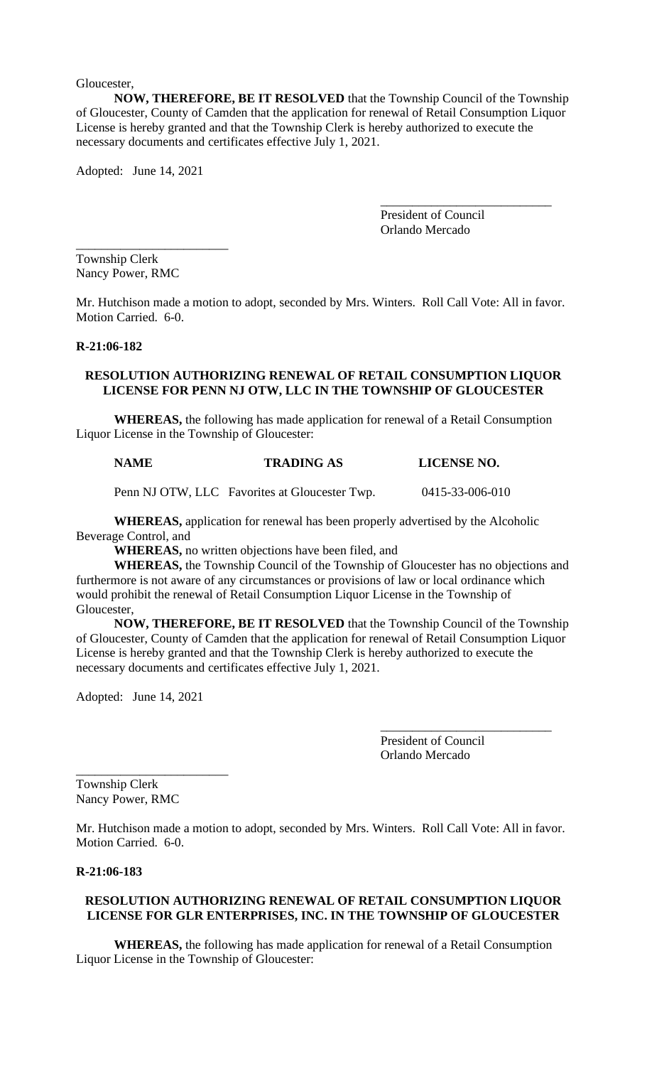Gloucester,

**NOW, THEREFORE, BE IT RESOLVED** that the Township Council of the Township of Gloucester, County of Camden that the application for renewal of Retail Consumption Liquor License is hereby granted and that the Township Clerk is hereby authorized to execute the necessary documents and certificates effective July 1, 2021.

Adopted: June 14, 2021

\_\_\_\_\_\_\_\_\_\_\_\_\_\_\_\_\_\_\_\_\_\_\_\_

President of Council Orlando Mercado

\_\_\_\_\_\_\_\_\_\_\_\_\_\_\_\_\_\_\_\_\_\_\_\_\_\_\_

Township Clerk Nancy Power, RMC

Mr. Hutchison made a motion to adopt, seconded by Mrs. Winters. Roll Call Vote: All in favor. Motion Carried. 6-0.

# **R-21:06-182**

## **RESOLUTION AUTHORIZING RENEWAL OF RETAIL CONSUMPTION LIQUOR LICENSE FOR PENN NJ OTW, LLC IN THE TOWNSHIP OF GLOUCESTER**

**WHEREAS,** the following has made application for renewal of a Retail Consumption Liquor License in the Township of Gloucester:

# **NAME TRADING AS LICENSE NO.**

Penn NJ OTW, LLC Favorites at Gloucester Twp. 0415-33-006-010

**WHEREAS,** application for renewal has been properly advertised by the Alcoholic Beverage Control, and

**WHEREAS,** no written objections have been filed, and

**WHEREAS,** the Township Council of the Township of Gloucester has no objections and furthermore is not aware of any circumstances or provisions of law or local ordinance which would prohibit the renewal of Retail Consumption Liquor License in the Township of Gloucester,

**NOW, THEREFORE, BE IT RESOLVED** that the Township Council of the Township of Gloucester, County of Camden that the application for renewal of Retail Consumption Liquor License is hereby granted and that the Township Clerk is hereby authorized to execute the necessary documents and certificates effective July 1, 2021.

Adopted: June 14, 2021

\_\_\_\_\_\_\_\_\_\_\_\_\_\_\_\_\_\_\_\_\_\_\_\_

President of Council Orlando Mercado

\_\_\_\_\_\_\_\_\_\_\_\_\_\_\_\_\_\_\_\_\_\_\_\_\_\_\_

Township Clerk Nancy Power, RMC

Mr. Hutchison made a motion to adopt, seconded by Mrs. Winters. Roll Call Vote: All in favor. Motion Carried. 6-0.

# **R-21:06-183**

# **RESOLUTION AUTHORIZING RENEWAL OF RETAIL CONSUMPTION LIQUOR LICENSE FOR GLR ENTERPRISES, INC. IN THE TOWNSHIP OF GLOUCESTER**

**WHEREAS,** the following has made application for renewal of a Retail Consumption Liquor License in the Township of Gloucester: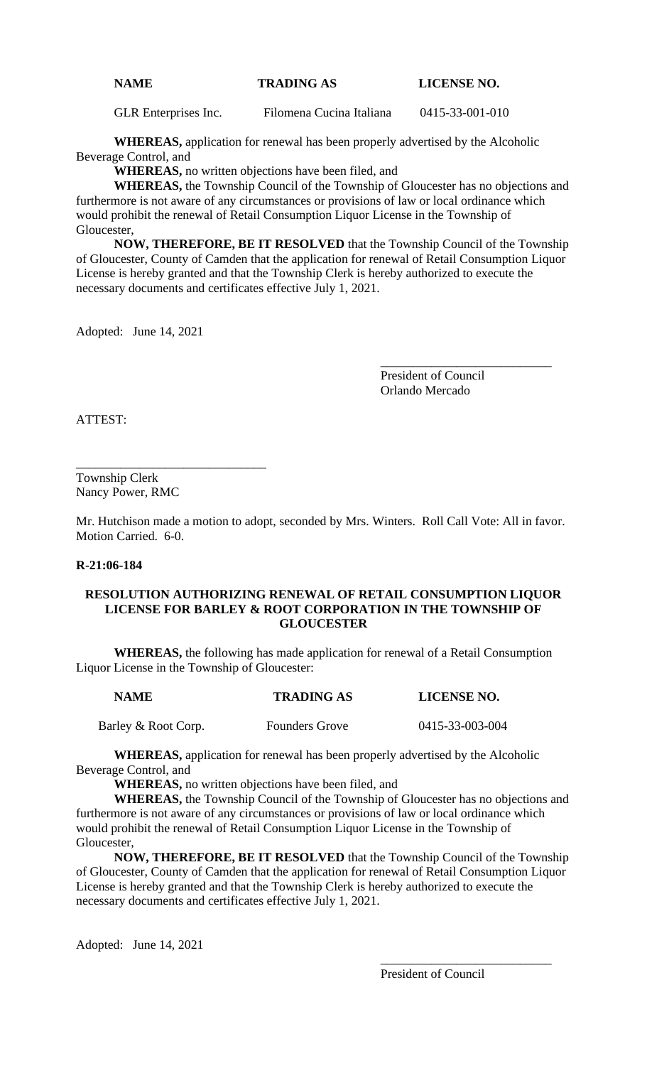# **NAME TRADING AS LICENSE NO.**

GLR Enterprises Inc. Filomena Cucina Italiana 0415-33-001-010

**WHEREAS,** application for renewal has been properly advertised by the Alcoholic Beverage Control, and

**WHEREAS,** no written objections have been filed, and

**WHEREAS,** the Township Council of the Township of Gloucester has no objections and furthermore is not aware of any circumstances or provisions of law or local ordinance which would prohibit the renewal of Retail Consumption Liquor License in the Township of Gloucester,

**NOW, THEREFORE, BE IT RESOLVED** that the Township Council of the Township of Gloucester, County of Camden that the application for renewal of Retail Consumption Liquor License is hereby granted and that the Township Clerk is hereby authorized to execute the necessary documents and certificates effective July 1, 2021.

Adopted: June 14, 2021

President of Council Orlando Mercado

\_\_\_\_\_\_\_\_\_\_\_\_\_\_\_\_\_\_\_\_\_\_\_\_\_\_\_

ATTEST:

Township Clerk Nancy Power, RMC

\_\_\_\_\_\_\_\_\_\_\_\_\_\_\_\_\_\_\_\_\_\_\_\_\_\_\_\_\_\_

Mr. Hutchison made a motion to adopt, seconded by Mrs. Winters. Roll Call Vote: All in favor. Motion Carried. 6-0.

## **R-21:06-184**

# **RESOLUTION AUTHORIZING RENEWAL OF RETAIL CONSUMPTION LIQUOR LICENSE FOR BARLEY & ROOT CORPORATION IN THE TOWNSHIP OF GLOUCESTER**

**WHEREAS,** the following has made application for renewal of a Retail Consumption Liquor License in the Township of Gloucester:

| <b>NAME</b>         | <b>TRADING AS</b>     | <b>LICENSE NO.</b> |
|---------------------|-----------------------|--------------------|
| Barley & Root Corp. | <b>Founders Grove</b> | 0415-33-003-004    |

**WHEREAS,** application for renewal has been properly advertised by the Alcoholic

Beverage Control, and

**WHEREAS,** no written objections have been filed, and

**WHEREAS,** the Township Council of the Township of Gloucester has no objections and furthermore is not aware of any circumstances or provisions of law or local ordinance which would prohibit the renewal of Retail Consumption Liquor License in the Township of Gloucester,

**NOW, THEREFORE, BE IT RESOLVED** that the Township Council of the Township of Gloucester, County of Camden that the application for renewal of Retail Consumption Liquor License is hereby granted and that the Township Clerk is hereby authorized to execute the necessary documents and certificates effective July 1, 2021.

Adopted: June 14, 2021

\_\_\_\_\_\_\_\_\_\_\_\_\_\_\_\_\_\_\_\_\_\_\_\_\_\_\_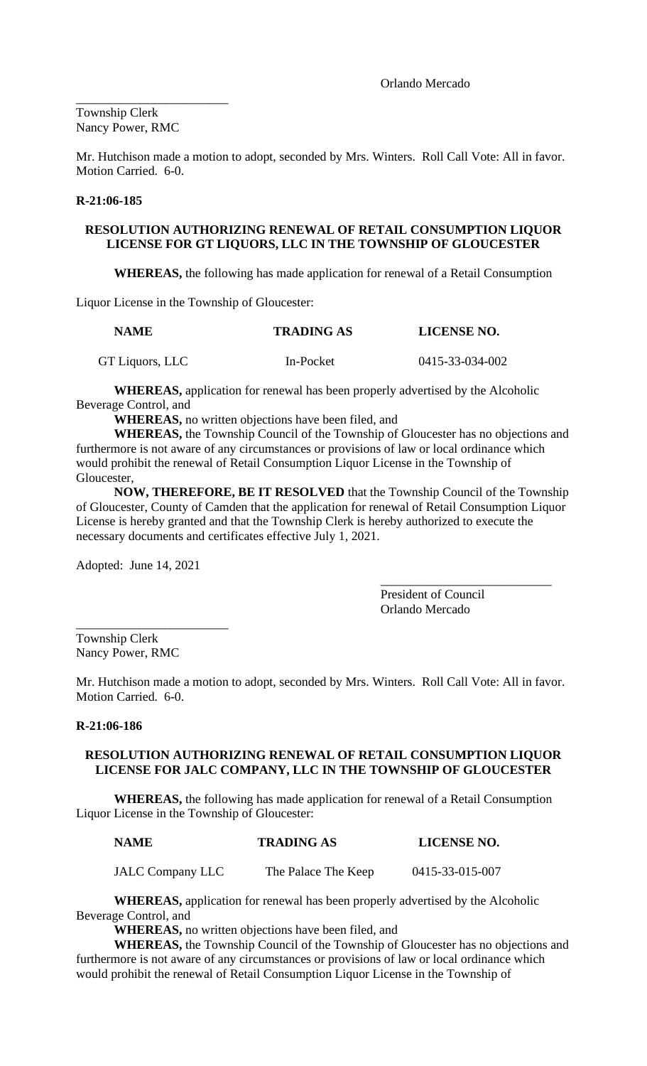Orlando Mercado

\_\_\_\_\_\_\_\_\_\_\_\_\_\_\_\_\_\_\_\_\_\_\_\_ Township Clerk Nancy Power, RMC

Mr. Hutchison made a motion to adopt, seconded by Mrs. Winters. Roll Call Vote: All in favor. Motion Carried. 6-0.

## **R-21:06-185**

# **RESOLUTION AUTHORIZING RENEWAL OF RETAIL CONSUMPTION LIQUOR LICENSE FOR GT LIQUORS, LLC IN THE TOWNSHIP OF GLOUCESTER**

**WHEREAS,** the following has made application for renewal of a Retail Consumption

Liquor License in the Township of Gloucester:

| <b>NAME</b>     | <b>TRADING AS</b> | <b>LICENSE NO.</b> |  |
|-----------------|-------------------|--------------------|--|
| GT Liquors, LLC | In-Pocket         | 0415-33-034-002    |  |

**WHEREAS,** application for renewal has been properly advertised by the Alcoholic Beverage Control, and

**WHEREAS,** no written objections have been filed, and

**WHEREAS,** the Township Council of the Township of Gloucester has no objections and furthermore is not aware of any circumstances or provisions of law or local ordinance which would prohibit the renewal of Retail Consumption Liquor License in the Township of Gloucester,

**NOW, THEREFORE, BE IT RESOLVED** that the Township Council of the Township of Gloucester, County of Camden that the application for renewal of Retail Consumption Liquor License is hereby granted and that the Township Clerk is hereby authorized to execute the necessary documents and certificates effective July 1, 2021.

Adopted: June 14, 2021

\_\_\_\_\_\_\_\_\_\_\_\_\_\_\_\_\_\_\_\_\_\_\_\_\_\_\_ President of Council Orlando Mercado

\_\_\_\_\_\_\_\_\_\_\_\_\_\_\_\_\_\_\_\_\_\_\_\_ Township Clerk Nancy Power, RMC

Mr. Hutchison made a motion to adopt, seconded by Mrs. Winters. Roll Call Vote: All in favor. Motion Carried. 6-0.

## **R-21:06-186**

# **RESOLUTION AUTHORIZING RENEWAL OF RETAIL CONSUMPTION LIQUOR LICENSE FOR JALC COMPANY, LLC IN THE TOWNSHIP OF GLOUCESTER**

**WHEREAS,** the following has made application for renewal of a Retail Consumption Liquor License in the Township of Gloucester:

| <b>NAME</b> | <b>TRADING AS</b> | <b>LICENSE NO.</b> |
|-------------|-------------------|--------------------|
|             |                   |                    |

JALC Company LLC The Palace The Keep 0415-33-015-007

**WHEREAS,** application for renewal has been properly advertised by the Alcoholic Beverage Control, and

**WHEREAS,** no written objections have been filed, and

**WHEREAS,** the Township Council of the Township of Gloucester has no objections and furthermore is not aware of any circumstances or provisions of law or local ordinance which would prohibit the renewal of Retail Consumption Liquor License in the Township of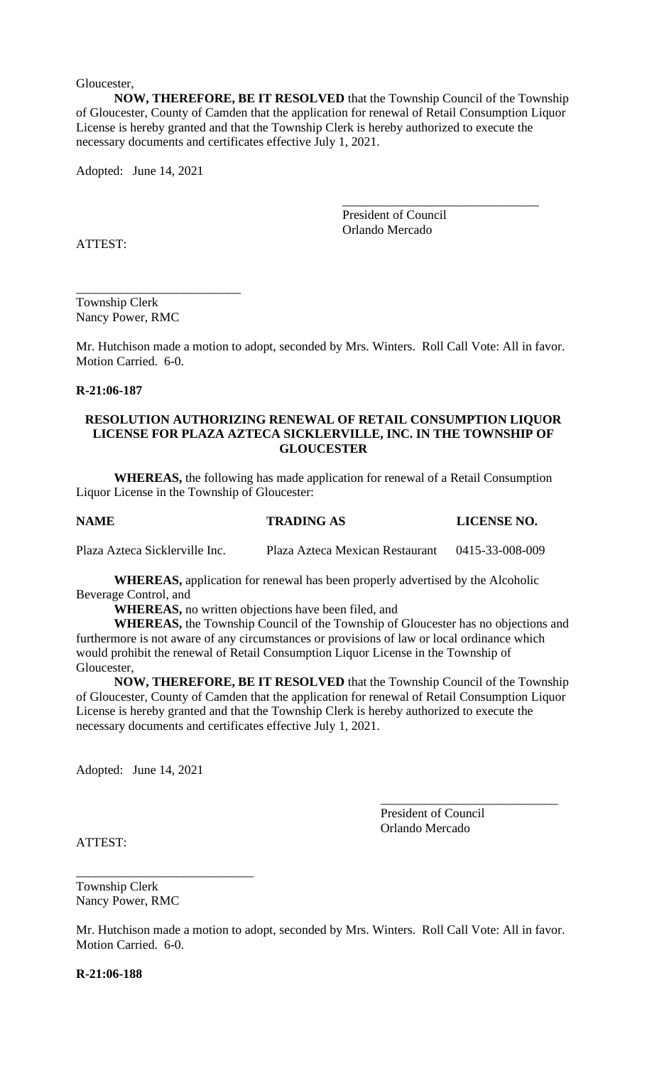Gloucester,

**NOW, THEREFORE, BE IT RESOLVED** that the Township Council of the Township of Gloucester, County of Camden that the application for renewal of Retail Consumption Liquor License is hereby granted and that the Township Clerk is hereby authorized to execute the necessary documents and certificates effective July 1, 2021.

Adopted: June 14, 2021

President of Council Orlando Mercado

\_\_\_\_\_\_\_\_\_\_\_\_\_\_\_\_\_\_\_\_\_\_\_\_\_\_\_\_\_\_\_

ATTEST:

Township Clerk Nancy Power, RMC

\_\_\_\_\_\_\_\_\_\_\_\_\_\_\_\_\_\_\_\_\_\_\_\_\_\_

Mr. Hutchison made a motion to adopt, seconded by Mrs. Winters. Roll Call Vote: All in favor. Motion Carried. 6-0.

## **R-21:06-187**

## **RESOLUTION AUTHORIZING RENEWAL OF RETAIL CONSUMPTION LIQUOR LICENSE FOR PLAZA AZTECA SICKLERVILLE, INC. IN THE TOWNSHIP OF GLOUCESTER**

**WHEREAS,** the following has made application for renewal of a Retail Consumption Liquor License in the Township of Gloucester:

### **NAME TRADING AS LICENSE NO.**

Plaza Azteca Sicklerville Inc. Plaza Azteca Mexican Restaurant 0415-33-008-009

**WHEREAS,** application for renewal has been properly advertised by the Alcoholic Beverage Control, and

**WHEREAS,** no written objections have been filed, and

**WHEREAS,** the Township Council of the Township of Gloucester has no objections and furthermore is not aware of any circumstances or provisions of law or local ordinance which would prohibit the renewal of Retail Consumption Liquor License in the Township of Gloucester,

**NOW, THEREFORE, BE IT RESOLVED** that the Township Council of the Township of Gloucester, County of Camden that the application for renewal of Retail Consumption Liquor License is hereby granted and that the Township Clerk is hereby authorized to execute the necessary documents and certificates effective July 1, 2021.

Adopted: June 14, 2021

President of Council Orlando Mercado

\_\_\_\_\_\_\_\_\_\_\_\_\_\_\_\_\_\_\_\_\_\_\_\_\_\_\_\_

ATTEST:

Township Clerk Nancy Power, RMC

\_\_\_\_\_\_\_\_\_\_\_\_\_\_\_\_\_\_\_\_\_\_\_\_\_\_\_\_

Mr. Hutchison made a motion to adopt, seconded by Mrs. Winters. Roll Call Vote: All in favor. Motion Carried. 6-0.

**R-21:06-188**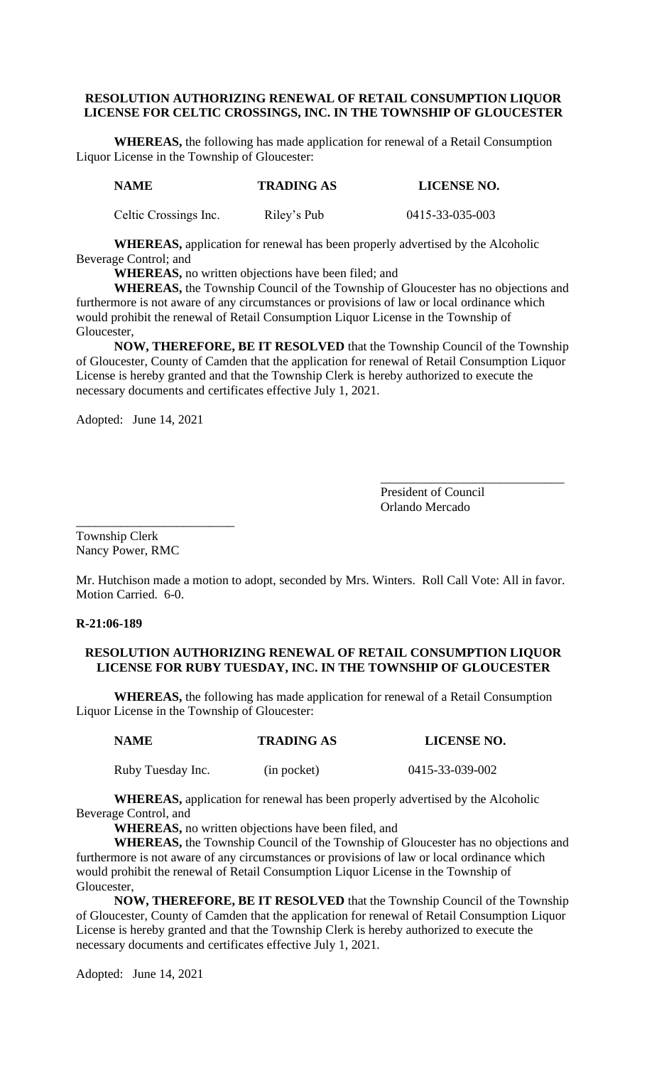# **RESOLUTION AUTHORIZING RENEWAL OF RETAIL CONSUMPTION LIQUOR LICENSE FOR CELTIC CROSSINGS, INC. IN THE TOWNSHIP OF GLOUCESTER**

**WHEREAS,** the following has made application for renewal of a Retail Consumption Liquor License in the Township of Gloucester:

| <b>NAME</b>           | <b>TRADING AS</b> | LICENSE NO.     |
|-----------------------|-------------------|-----------------|
| Celtic Crossings Inc. | Riley's Pub       | 0415-33-035-003 |

**WHEREAS,** application for renewal has been properly advertised by the Alcoholic Beverage Control; and

**WHEREAS,** no written objections have been filed; and

**WHEREAS,** the Township Council of the Township of Gloucester has no objections and furthermore is not aware of any circumstances or provisions of law or local ordinance which would prohibit the renewal of Retail Consumption Liquor License in the Township of Gloucester,

**NOW, THEREFORE, BE IT RESOLVED** that the Township Council of the Township of Gloucester, County of Camden that the application for renewal of Retail Consumption Liquor License is hereby granted and that the Township Clerk is hereby authorized to execute the necessary documents and certificates effective July 1, 2021.

Adopted: June 14, 2021

President of Council Orlando Mercado

\_\_\_\_\_\_\_\_\_\_\_\_\_\_\_\_\_\_\_\_\_\_\_\_\_\_\_\_\_

Township Clerk Nancy Power, RMC

\_\_\_\_\_\_\_\_\_\_\_\_\_\_\_\_\_\_\_\_\_\_\_\_\_

Mr. Hutchison made a motion to adopt, seconded by Mrs. Winters. Roll Call Vote: All in favor. Motion Carried. 6-0.

# **R-21:06-189**

# **RESOLUTION AUTHORIZING RENEWAL OF RETAIL CONSUMPTION LIQUOR LICENSE FOR RUBY TUESDAY, INC. IN THE TOWNSHIP OF GLOUCESTER**

**WHEREAS,** the following has made application for renewal of a Retail Consumption Liquor License in the Township of Gloucester:

| <b>NAME</b>       | <b>TRADING AS</b> | <b>LICENSE NO.</b> |
|-------------------|-------------------|--------------------|
| Ruby Tuesday Inc. | (in pocket)       | 0415-33-039-002    |

**WHEREAS,** application for renewal has been properly advertised by the Alcoholic Beverage Control, and

**WHEREAS,** no written objections have been filed, and

**WHEREAS,** the Township Council of the Township of Gloucester has no objections and furthermore is not aware of any circumstances or provisions of law or local ordinance which would prohibit the renewal of Retail Consumption Liquor License in the Township of Gloucester,

**NOW, THEREFORE, BE IT RESOLVED** that the Township Council of the Township of Gloucester, County of Camden that the application for renewal of Retail Consumption Liquor License is hereby granted and that the Township Clerk is hereby authorized to execute the necessary documents and certificates effective July 1, 2021.

Adopted: June 14, 2021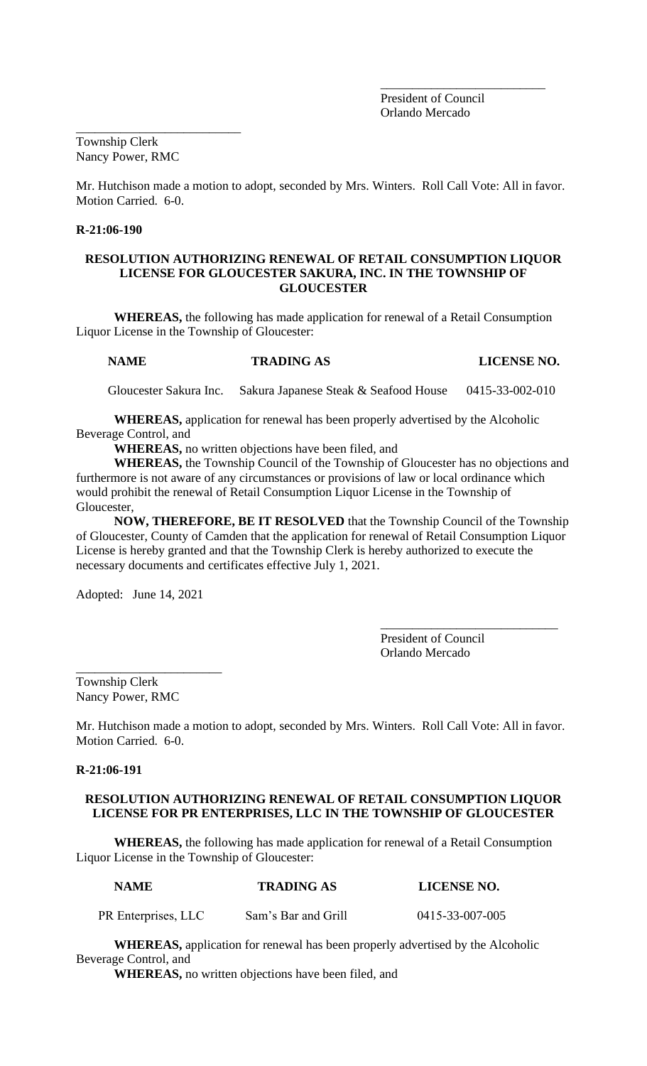President of Council Orlando Mercado

\_\_\_\_\_\_\_\_\_\_\_\_\_\_\_\_\_\_\_\_\_\_\_\_\_\_

Township Clerk Nancy Power, RMC

\_\_\_\_\_\_\_\_\_\_\_\_\_\_\_\_\_\_\_\_\_\_\_\_\_\_

Mr. Hutchison made a motion to adopt, seconded by Mrs. Winters. Roll Call Vote: All in favor. Motion Carried. 6-0.

# **R-21:06-190**

## **RESOLUTION AUTHORIZING RENEWAL OF RETAIL CONSUMPTION LIQUOR LICENSE FOR GLOUCESTER SAKURA, INC. IN THE TOWNSHIP OF GLOUCESTER**

**WHEREAS,** the following has made application for renewal of a Retail Consumption Liquor License in the Township of Gloucester:

## **NAME TRADING AS LICENSE NO.**

Gloucester Sakura Inc. Sakura Japanese Steak & Seafood House 0415-33-002-010

**WHEREAS,** application for renewal has been properly advertised by the Alcoholic Beverage Control, and

**WHEREAS,** no written objections have been filed, and

**WHEREAS,** the Township Council of the Township of Gloucester has no objections and furthermore is not aware of any circumstances or provisions of law or local ordinance which would prohibit the renewal of Retail Consumption Liquor License in the Township of Gloucester,

**NOW, THEREFORE, BE IT RESOLVED** that the Township Council of the Township of Gloucester, County of Camden that the application for renewal of Retail Consumption Liquor License is hereby granted and that the Township Clerk is hereby authorized to execute the necessary documents and certificates effective July 1, 2021.

Adopted: June 14, 2021

\_\_\_\_\_\_\_\_\_\_\_\_\_\_\_\_\_\_\_\_\_\_\_\_\_\_\_\_ President of Council Orlando Mercado

\_\_\_\_\_\_\_\_\_\_\_\_\_\_\_\_\_\_\_\_\_\_\_ Township Clerk Nancy Power, RMC

Mr. Hutchison made a motion to adopt, seconded by Mrs. Winters. Roll Call Vote: All in favor. Motion Carried. 6-0.

## **R-21:06-191**

# **RESOLUTION AUTHORIZING RENEWAL OF RETAIL CONSUMPTION LIQUOR LICENSE FOR PR ENTERPRISES, LLC IN THE TOWNSHIP OF GLOUCESTER**

**WHEREAS,** the following has made application for renewal of a Retail Consumption Liquor License in the Township of Gloucester:

| <b>NAME</b>         | <b>TRADING AS</b>   | <b>LICENSE NO.</b> |
|---------------------|---------------------|--------------------|
| PR Enterprises, LLC | Sam's Bar and Grill | 0415-33-007-005    |

**WHEREAS,** application for renewal has been properly advertised by the Alcoholic Beverage Control, and

**WHEREAS,** no written objections have been filed, and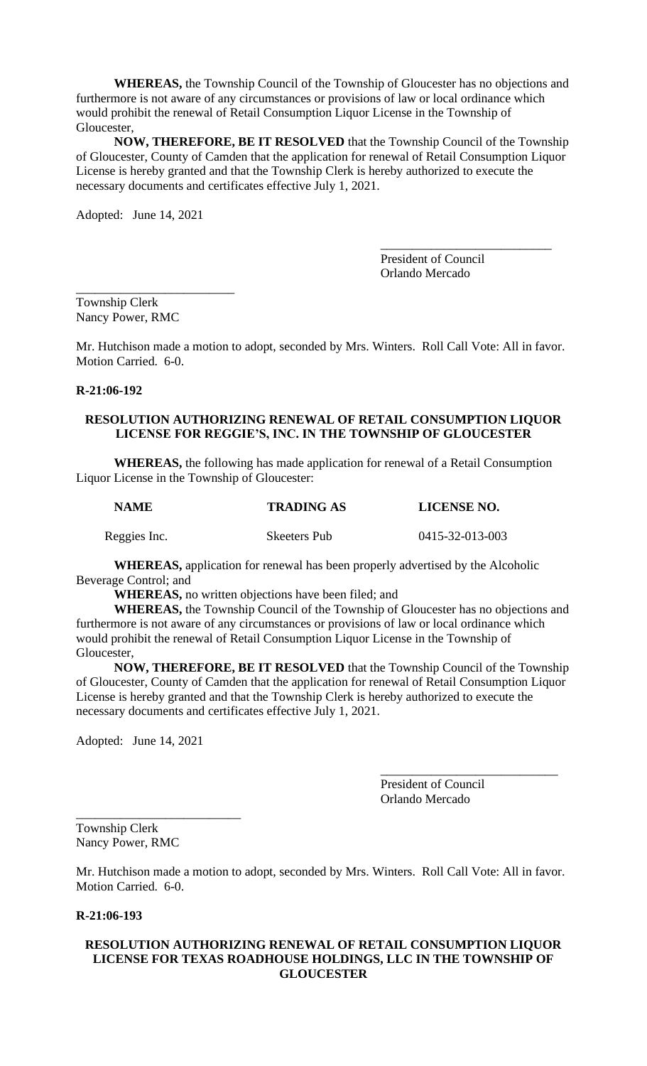**WHEREAS,** the Township Council of the Township of Gloucester has no objections and furthermore is not aware of any circumstances or provisions of law or local ordinance which would prohibit the renewal of Retail Consumption Liquor License in the Township of Gloucester,

**NOW, THEREFORE, BE IT RESOLVED** that the Township Council of the Township of Gloucester, County of Camden that the application for renewal of Retail Consumption Liquor License is hereby granted and that the Township Clerk is hereby authorized to execute the necessary documents and certificates effective July 1, 2021.

Adopted: June 14, 2021

\_\_\_\_\_\_\_\_\_\_\_\_\_\_\_\_\_\_\_\_\_\_\_\_\_

President of Council Orlando Mercado

\_\_\_\_\_\_\_\_\_\_\_\_\_\_\_\_\_\_\_\_\_\_\_\_\_\_\_

Township Clerk Nancy Power, RMC

Mr. Hutchison made a motion to adopt, seconded by Mrs. Winters. Roll Call Vote: All in favor. Motion Carried. 6-0.

## **R-21:06-192**

# **RESOLUTION AUTHORIZING RENEWAL OF RETAIL CONSUMPTION LIQUOR LICENSE FOR REGGIE'S, INC. IN THE TOWNSHIP OF GLOUCESTER**

**WHEREAS,** the following has made application for renewal of a Retail Consumption Liquor License in the Township of Gloucester:

| <b>NAME</b>  | <b>TRADING AS</b> | <b>LICENSE NO.</b> |  |
|--------------|-------------------|--------------------|--|
| Reggies Inc. | Skeeters Pub      | 0415-32-013-003    |  |

**WHEREAS,** application for renewal has been properly advertised by the Alcoholic Beverage Control; and

**WHEREAS,** no written objections have been filed; and

**WHEREAS,** the Township Council of the Township of Gloucester has no objections and furthermore is not aware of any circumstances or provisions of law or local ordinance which would prohibit the renewal of Retail Consumption Liquor License in the Township of Gloucester,

**NOW, THEREFORE, BE IT RESOLVED** that the Township Council of the Township of Gloucester, County of Camden that the application for renewal of Retail Consumption Liquor License is hereby granted and that the Township Clerk is hereby authorized to execute the necessary documents and certificates effective July 1, 2021.

Adopted: June 14, 2021

\_\_\_\_\_\_\_\_\_\_\_\_\_\_\_\_\_\_\_\_\_\_\_\_\_\_

President of Council Orlando Mercado

\_\_\_\_\_\_\_\_\_\_\_\_\_\_\_\_\_\_\_\_\_\_\_\_\_\_\_\_

Township Clerk Nancy Power, RMC

Mr. Hutchison made a motion to adopt, seconded by Mrs. Winters. Roll Call Vote: All in favor. Motion Carried. 6-0.

### **R-21:06-193**

# **RESOLUTION AUTHORIZING RENEWAL OF RETAIL CONSUMPTION LIQUOR LICENSE FOR TEXAS ROADHOUSE HOLDINGS, LLC IN THE TOWNSHIP OF GLOUCESTER**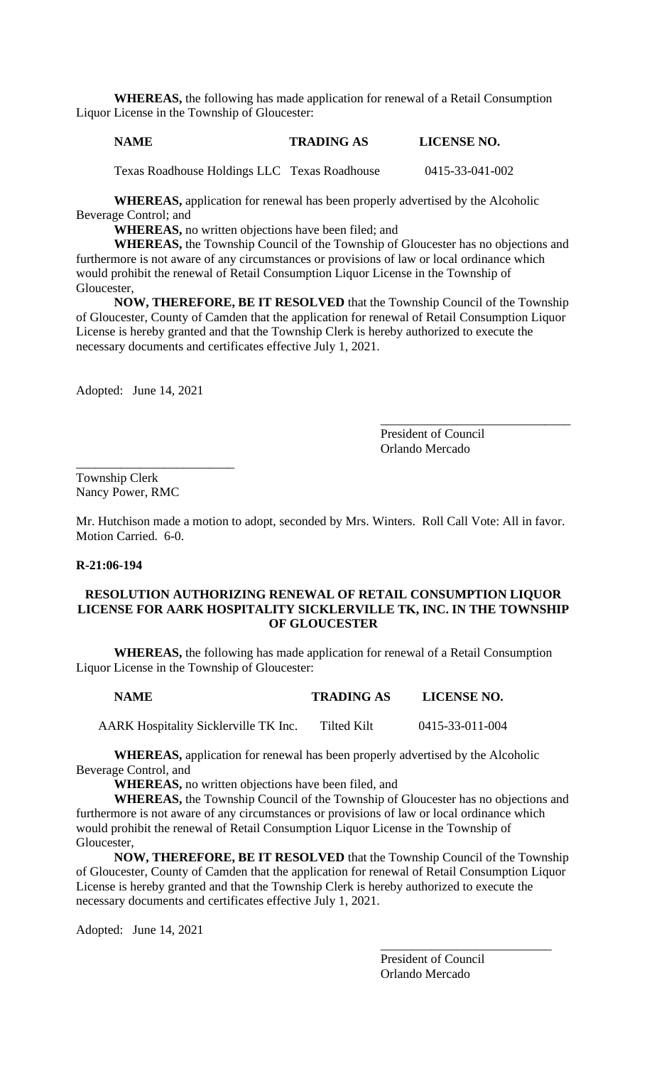**WHEREAS,** the following has made application for renewal of a Retail Consumption Liquor License in the Township of Gloucester:

# **NAME TRADING AS LICENSE NO.**

Texas Roadhouse Holdings LLC Texas Roadhouse 0415-33-041-002

**WHEREAS,** application for renewal has been properly advertised by the Alcoholic Beverage Control; and

**WHEREAS,** no written objections have been filed; and

**WHEREAS,** the Township Council of the Township of Gloucester has no objections and furthermore is not aware of any circumstances or provisions of law or local ordinance which would prohibit the renewal of Retail Consumption Liquor License in the Township of Gloucester,

**NOW, THEREFORE, BE IT RESOLVED** that the Township Council of the Township of Gloucester, County of Camden that the application for renewal of Retail Consumption Liquor License is hereby granted and that the Township Clerk is hereby authorized to execute the necessary documents and certificates effective July 1, 2021.

Adopted: June 14, 2021

\_\_\_\_\_\_\_\_\_\_\_\_\_\_\_\_\_\_\_\_\_\_\_\_\_

President of Council Orlando Mercado

\_\_\_\_\_\_\_\_\_\_\_\_\_\_\_\_\_\_\_\_\_\_\_\_\_\_\_\_\_\_

Township Clerk Nancy Power, RMC

Mr. Hutchison made a motion to adopt, seconded by Mrs. Winters. Roll Call Vote: All in favor. Motion Carried. 6-0.

## **R-21:06-194**

# **RESOLUTION AUTHORIZING RENEWAL OF RETAIL CONSUMPTION LIQUOR LICENSE FOR AARK HOSPITALITY SICKLERVILLE TK, INC. IN THE TOWNSHIP OF GLOUCESTER**

**WHEREAS,** the following has made application for renewal of a Retail Consumption Liquor License in the Township of Gloucester:

### **NAME TRADING AS LICENSE NO.**

AARK Hospitality Sicklerville TK Inc. Tilted Kilt 0415-33-011-004

**WHEREAS,** application for renewal has been properly advertised by the Alcoholic Beverage Control, and

**WHEREAS,** no written objections have been filed, and

**WHEREAS,** the Township Council of the Township of Gloucester has no objections and furthermore is not aware of any circumstances or provisions of law or local ordinance which would prohibit the renewal of Retail Consumption Liquor License in the Township of Gloucester,

**NOW, THEREFORE, BE IT RESOLVED** that the Township Council of the Township of Gloucester, County of Camden that the application for renewal of Retail Consumption Liquor License is hereby granted and that the Township Clerk is hereby authorized to execute the necessary documents and certificates effective July 1, 2021.

Adopted: June 14, 2021

President of Council Orlando Mercado

\_\_\_\_\_\_\_\_\_\_\_\_\_\_\_\_\_\_\_\_\_\_\_\_\_\_\_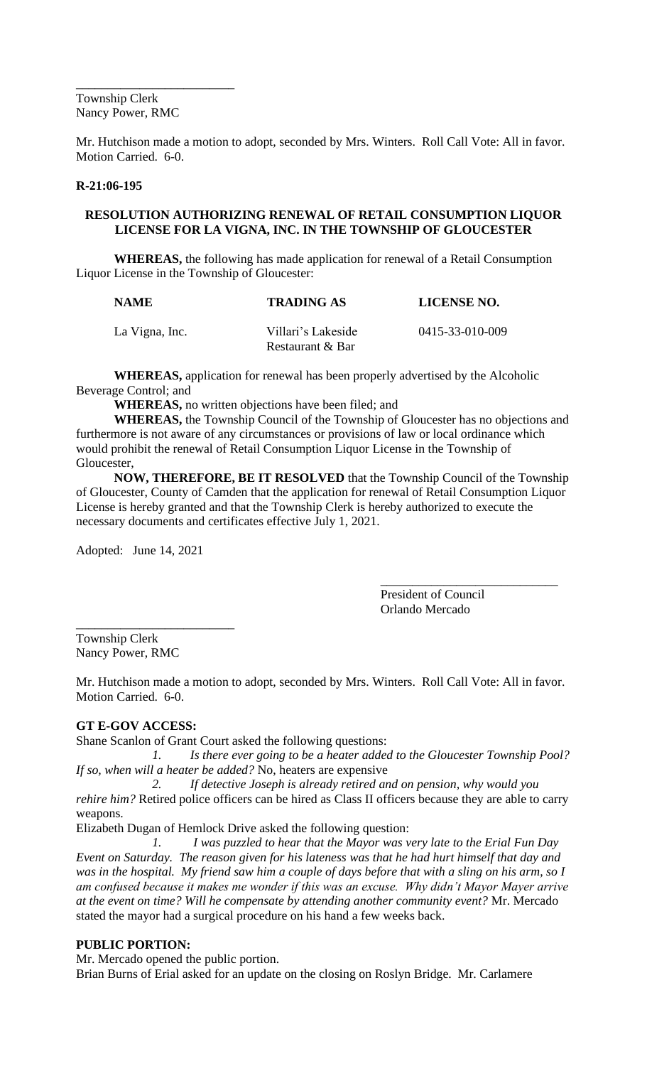\_\_\_\_\_\_\_\_\_\_\_\_\_\_\_\_\_\_\_\_\_\_\_\_\_ Township Clerk Nancy Power, RMC

Mr. Hutchison made a motion to adopt, seconded by Mrs. Winters. Roll Call Vote: All in favor. Motion Carried. 6-0.

# **R-21:06-195**

# **RESOLUTION AUTHORIZING RENEWAL OF RETAIL CONSUMPTION LIQUOR LICENSE FOR LA VIGNA, INC. IN THE TOWNSHIP OF GLOUCESTER**

**WHEREAS,** the following has made application for renewal of a Retail Consumption Liquor License in the Township of Gloucester:

| <b>NAME</b>    | <b>TRADING AS</b>                      | LICENSE NO.     |
|----------------|----------------------------------------|-----------------|
| La Vigna, Inc. | Villari's Lakeside<br>Restaurant & Bar | 0415-33-010-009 |

**WHEREAS,** application for renewal has been properly advertised by the Alcoholic Beverage Control; and

**WHEREAS,** no written objections have been filed; and

**WHEREAS,** the Township Council of the Township of Gloucester has no objections and furthermore is not aware of any circumstances or provisions of law or local ordinance which would prohibit the renewal of Retail Consumption Liquor License in the Township of Gloucester,

**NOW, THEREFORE, BE IT RESOLVED** that the Township Council of the Township of Gloucester, County of Camden that the application for renewal of Retail Consumption Liquor License is hereby granted and that the Township Clerk is hereby authorized to execute the necessary documents and certificates effective July 1, 2021.

Adopted: June 14, 2021

\_\_\_\_\_\_\_\_\_\_\_\_\_\_\_\_\_\_\_\_\_\_\_\_\_\_\_\_ President of Council Orlando Mercado

\_\_\_\_\_\_\_\_\_\_\_\_\_\_\_\_\_\_\_\_\_\_\_\_\_ Township Clerk Nancy Power, RMC

Mr. Hutchison made a motion to adopt, seconded by Mrs. Winters. Roll Call Vote: All in favor. Motion Carried. 6-0.

# **GT E-GOV ACCESS:**

Shane Scanlon of Grant Court asked the following questions:

*1. Is there ever going to be a heater added to the Gloucester Township Pool? If so, when will a heater be added?* No, heaters are expensive

*2. If detective Joseph is already retired and on pension, why would you rehire him?* Retired police officers can be hired as Class II officers because they are able to carry weapons.

Elizabeth Dugan of Hemlock Drive asked the following question:

*1. I was puzzled to hear that the Mayor was very late to the Erial Fun Day Event on Saturday. The reason given for his lateness was that he had hurt himself that day and was in the hospital. My friend saw him a couple of days before that with a sling on his arm, so I am confused because it makes me wonder if this was an excuse. Why didn't Mayor Mayer arrive at the event on time? Will he compensate by attending another community event?* Mr. Mercado stated the mayor had a surgical procedure on his hand a few weeks back.

# **PUBLIC PORTION:**

Mr. Mercado opened the public portion.

Brian Burns of Erial asked for an update on the closing on Roslyn Bridge. Mr. Carlamere